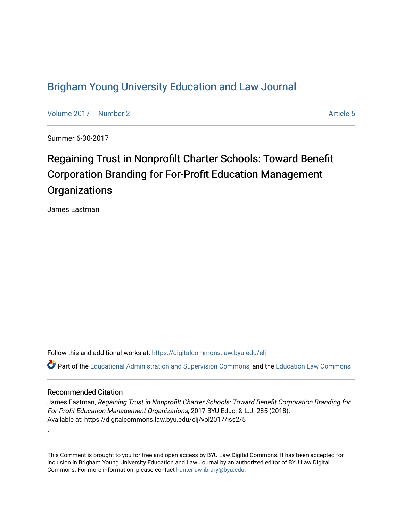# [Brigham Young University Education and Law Journal](https://digitalcommons.law.byu.edu/elj)

[Volume 2017](https://digitalcommons.law.byu.edu/elj/vol2017) | [Number 2](https://digitalcommons.law.byu.edu/elj/vol2017/iss2) Article 5

Summer 6-30-2017

# Regaining Trust in Nonprofilt Charter Schools: Toward Benefit Corporation Branding for For-Profit Education Management **Organizations**

James Eastman

Follow this and additional works at: [https://digitalcommons.law.byu.edu/elj](https://digitalcommons.law.byu.edu/elj?utm_source=digitalcommons.law.byu.edu%2Felj%2Fvol2017%2Fiss2%2F5&utm_medium=PDF&utm_campaign=PDFCoverPages)

**C**<sup> $\bullet$ </sup> Part of the [Educational Administration and Supervision Commons](http://network.bepress.com/hgg/discipline/787?utm_source=digitalcommons.law.byu.edu%2Felj%2Fvol2017%2Fiss2%2F5&utm_medium=PDF&utm_campaign=PDFCoverPages), and the Education Law Commons

# Recommended Citation

.

James Eastman, Regaining Trust in Nonprofilt Charter Schools: Toward Benefit Corporation Branding for For-Profit Education Management Organizations, 2017 BYU Educ. & L.J. 285 (2018). Available at: https://digitalcommons.law.byu.edu/elj/vol2017/iss2/5

This Comment is brought to you for free and open access by BYU Law Digital Commons. It has been accepted for inclusion in Brigham Young University Education and Law Journal by an authorized editor of BYU Law Digital Commons. For more information, please contact [hunterlawlibrary@byu.edu](mailto:hunterlawlibrary@byu.edu).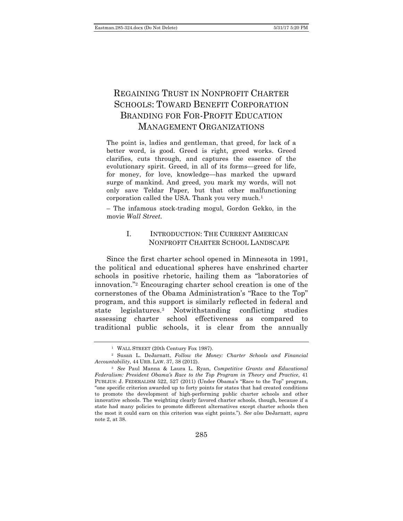# REGAINING TRUST IN NONPROFIT CHARTER SCHOOLS: TOWARD BENEFIT CORPORATION BRANDING FOR FOR-PROFIT EDUCATION MANAGEMENT ORGANIZATIONS

The point is, ladies and gentleman, that greed, for lack of a better word, is good. Greed is right, greed works. Greed clarifies, cuts through, and captures the essence of the evolutionary spirit. Greed, in all of its forms—greed for life, for money, for love, knowledge—has marked the upward surge of mankind. And greed, you mark my words, will not only save Teldar Paper, but that other malfunctioning corporation called the USA. Thank you very much*.*<sup>1</sup>

– The infamous stock-trading mogul, Gordon Gekko, in the movie *Wall Street*.

# I. INTRODUCTION: THE CURRENT AMERICAN NONPROFIT CHARTER SCHOOL LANDSCAPE

Since the first charter school opened in Minnesota in 1991, the political and educational spheres have enshrined charter schools in positive rhetoric, hailing them as "laboratories of innovation."2 Encouraging charter school creation is one of the cornerstones of the Obama Administration's "Race to the Top" program, and this support is similarly reflected in federal and state legislatures.3 Notwithstanding conflicting studies assessing charter school effectiveness as compared to traditional public schools, it is clear from the annually

<sup>&</sup>lt;sup>1</sup> WALL STREET (20th Century Fox 1987).

<sup>2</sup> Susan L. DeJarnatt, *Follow the Money: Charter Schools and Financial Accountability*, 44 URB. LAW. 37, 38 (2012).

<sup>3</sup> *See* Paul Manna & Laura L. Ryan, *Competitive Grants and Educational Federalism: President Obama's Race to the Top Program in Theory and Practice*, 41 PUBLIUS: J. FEDERALISM 522, 527 (2011) (Under Obama's "Race to the Top" program, "one specific criterion awarded up to forty points for states that had created conditions to promote the development of high-performing public charter schools and other innovative schools. The weighting clearly favored charter schools, though, because if a state had many policies to promote different alternatives except charter schools then the most it could earn on this criterion was eight points."). *See also* DeJarnatt, *supra* note 2, at 38.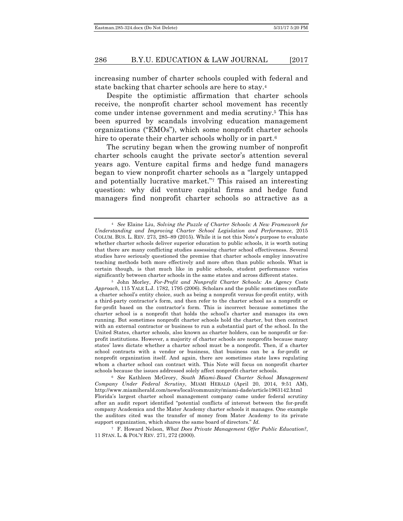increasing number of charter schools coupled with federal and state backing that charter schools are here to stay.4

Despite the optimistic affirmation that charter schools receive, the nonprofit charter school movement has recently come under intense government and media scrutiny.5 This has been spurred by scandals involving education management organizations ("EMOs"), which some nonprofit charter schools hire to operate their charter schools wholly or in part.<sup>6</sup>

The scrutiny began when the growing number of nonprofit charter schools caught the private sector's attention several years ago. Venture capital firms and hedge fund managers began to view nonprofit charter schools as a "largely untapped and potentially lucrative market."7 This raised an interesting question: why did venture capital firms and hedge fund managers find nonprofit charter schools so attractive as a

<sup>6</sup> *See* Kathleen McGrory, *South Miami-Based Charter School Management Company Under Federal Scrutiny*, MIAMI HERALD (April 20, 2014, 9:51 AM), http://www.miamiherald.com/news/local/community/miami-dade/article1963142.html Florida's largest charter school management company came under federal scrutiny after an audit report identified "potential conflicts of interest between the for-profit company Academica and the Mater Academy charter schools it manages. One example the auditors cited was the transfer of money from Mater Academy to its private support organization, which shares the same board of directors." *Id.*

<sup>7</sup> F. Howard Nelson, *What Does Private Management Offer Public Education?*, 11 STAN. L. & POL'Y REV. 271, 272 (2000).

<sup>4</sup> *See* Elaine Liu, *Solving the Puzzle of Charter Schools: A New Framework for Understanding and Improving Charter School Legislation and Performance*, 2015 COLUM. BUS. L. REV. 273, 285–89 (2015). While it is not this Note's purpose to evaluate whether charter schools deliver superior education to public schools, it is worth noting that there are many conflicting studies assessing charter school effectiveness. Several studies have seriously questioned the premise that charter schools employ innovative teaching methods both more effectively and more often than public schools. What is certain though, is that much like in public schools, student performance varies significantly between charter schools in the same states and across different states.

<sup>5</sup> John Morley, *For-Profit and Nonprofit Charter Schools: An Agency Costs Approach*, 115 YALE L.J. 1782, 1795 (2006). Scholars and the public sometimes conflate a charter school's entity choice, such as being a nonprofit versus for-profit entity, with a third-party contractor's form, and then refer to the charter school as a nonprofit or for-profit based on the contractor's form. This is incorrect because sometimes the charter school is a nonprofit that holds the school's charter and manages its own running. But sometimes nonprofit charter schools hold the charter, but then contract with an external contractor or business to run a substantial part of the school. In the United States, charter schools, also known as charter holders, can be nonprofit or forprofit institutions. However, a majority of charter schools are nonprofits because many states' laws dictate whether a charter school must be a nonprofit. Then, if a charter school contracts with a vendor or business, that business can be a for-profit or nonprofit organization itself. And again, there are sometimes state laws regulating whom a charter school can contract with. This Note will focus on nonprofit charter schools because the issues addressed solely affect nonprofit charter schools.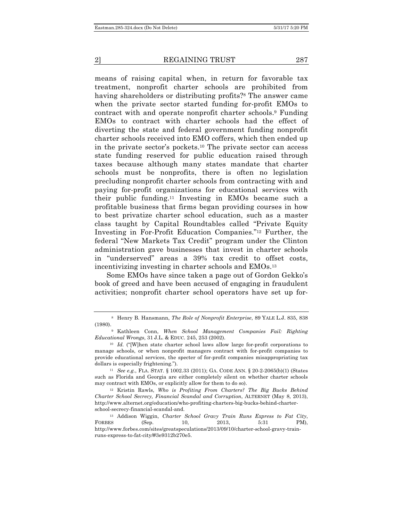means of raising capital when, in return for favorable tax treatment, nonprofit charter schools are prohibited from having shareholders or distributing profits?8 The answer came when the private sector started funding for-profit EMOs to contract with and operate nonprofit charter schools.9 Funding EMOs to contract with charter schools had the effect of diverting the state and federal government funding nonprofit charter schools received into EMO coffers, which then ended up in the private sector's pockets.10 The private sector can access state funding reserved for public education raised through taxes because although many states mandate that charter schools must be nonprofits, there is often no legislation precluding nonprofit charter schools from contracting with and paying for-profit organizations for educational services with their public funding.11 Investing in EMOs became such a profitable business that firms began providing courses in how to best privatize charter school education, such as a master class taught by Capital Roundtables called "Private Equity Investing in For-Profit Education Companies."12 Further, the federal "New Markets Tax Credit" program under the Clinton administration gave businesses that invest in charter schools in "underserved" areas a 39% tax credit to offset costs, incentivizing investing in charter schools and EMOs.13

Some EMOs have since taken a page out of Gordon Gekko's book of greed and have been accused of engaging in fraudulent activities; nonprofit charter school operators have set up for-

<sup>11</sup> *See e.g.*, FLA. STAT. § 1002.33 (2011); GA. CODE ANN. § 20-2-2065(b)(1) (States such as Florida and Georgia are either completely silent on whether charter schools may contract with EMOs, or explicitly allow for them to do so).

<sup>12</sup> Kristin Rawls, *Who is Profiting From Charters? The Big Bucks Behind Charter School Secrecy, Financial Scandal and Corruption*, ALTERNET (May 8, 2013), http://www.alternet.org/education/who-profiting-charters-big-bucks-behind-charterschool-secrecy-financial-scandal-and.

<sup>13</sup> Addison Wiggin, *Charter School Gravy Train Runs Express to Fat City*, FORBES (Sep. 10, 2013, 5:31 PM), http://www.forbes.com/sites/greatspeculations/2013/09/10/charter-school-gravy-trainruns-express-to-fat-city/#3e9312b270e5.

<sup>8</sup> Henry B. Hansmann, *The Role of Nonprofit Enterprise*, 89 YALE L.J. 835, 838 (1980).

<sup>9</sup> Kathleen Conn, *When School Management Companies Fail: Righting Educational Wrongs*, 31 J.L. & EDUC. 245, 253 (2002).

<sup>10</sup> *Id.* ("[W]hen state charter school laws allow large for-profit corporations to manage schools, or when nonprofit managers contract with for-profit companies to provide educational services, the specter of for-profit companies misappropriating tax dollars is especially frightening.").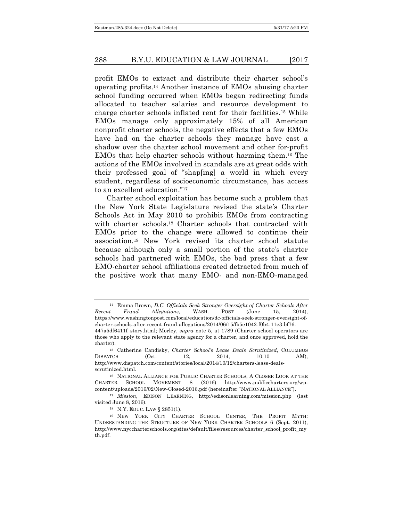profit EMOs to extract and distribute their charter school's operating profits.14 Another instance of EMOs abusing charter school funding occurred when EMOs began redirecting funds allocated to teacher salaries and resource development to charge charter schools inflated rent for their facilities.15 While EMOs manage only approximately 15% of all American nonprofit charter schools, the negative effects that a few EMOs have had on the charter schools they manage have cast a shadow over the charter school movement and other for-profit EMOs that help charter schools without harming them.16 The actions of the EMOs involved in scandals are at great odds with their professed goal of "shap[ing] a world in which every student, regardless of socioeconomic circumstance, has access to an excellent education."17

Charter school exploitation has become such a problem that the New York State Legislature revised the state's Charter Schools Act in May 2010 to prohibit EMOs from contracting with charter schools.18 Charter schools that contracted with EMOs prior to the change were allowed to continue their association.19 New York revised its charter school statute because although only a small portion of the state's charter schools had partnered with EMOs, the bad press that a few EMO-charter school affiliations created detracted from much of the positive work that many EMO- and non-EMO-managed

<sup>14</sup> Emma Brown, *D.C. Officials Seek Stronger Oversight of Charter Schools After Recent Fraud Allegations*, WASH. POST (June 15, 2014), https://www.washingtonpost.com/local/education/dc-officials-seek-stronger-oversight-ofcharter-schools-after-recent-fraud-allegations/2014/06/15/fb5e1042-f0b4-11e3-bf76- 447a5df6411f\_story.html; Morley, *supra* note 5, at 1789 (Charter school operators are those who apply to the relevant state agency for a charter, and once approved, hold the charter).

<sup>15</sup> Catherine Candisky, *Charter School's Lease Deals Scrutinized*, COLUMBUS DISPATCH (Oct. 12, 2014, 10:10 AM), http://www.dispatch.com/content/stories/local/2014/10/12/charters-lease-dealsscrutinized.html.

<sup>16</sup> NATIONAL ALLIANCE FOR PUBLIC CHARTER SCHOOLS, A CLOSER LOOK AT THE CHARTER SCHOOL MOVEMENT 8 (2016) http://www.publiccharters.org/wpcontent/uploads/2016/02/New-Closed-2016.pdf (hereinafter "NATIONAL ALLIANCE").

<sup>17</sup> *Mission*, EDISON LEARNING, http://edisonlearning.com/mission.php (last visited June 8, 2016).

<sup>18</sup> N.Y. EDUC. LAW § 2851(1).

<sup>19</sup> NEW YORK CITY CHARTER SCHOOL CENTER, THE PROFIT MYTH: UNDERSTANDING THE STRUCTURE OF NEW YORK CHARTER SCHOOLS 6 (Sept. 2011), http://www.nyccharterschools.org/sites/default/files/resources/charter\_school\_profit\_my th.pdf.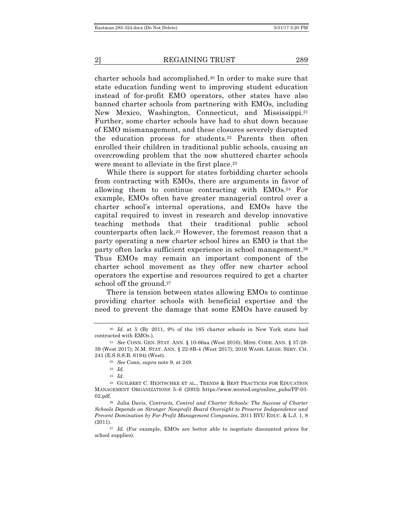charter schools had accomplished.20 In order to make sure that state education funding went to improving student education instead of for-profit EMO operators, other states have also banned charter schools from partnering with EMOs, including New Mexico, Washington, Connecticut, and Mississippi.21 Further, some charter schools have had to shut down because of EMO mismanagement, and these closures severely disrupted the education process for students.22 Parents then often enrolled their children in traditional public schools, causing an overcrowding problem that the now shuttered charter schools were meant to alleviate in the first place.<sup>23</sup>

While there is support for states forbidding charter schools from contracting with EMOs, there are arguments in favor of allowing them to continue contracting with EMOs.24 For example, EMOs often have greater managerial control over a charter school's internal operations, and EMOs have the capital required to invest in research and develop innovative teaching methods that their traditional public school counterparts often lack.25 However, the foremost reason that a party operating a new charter school hires an EMO is that the party often lacks sufficient experience in school management.26 Thus EMOs may remain an important component of the charter school movement as they offer new charter school operators the expertise and resources required to get a charter school off the ground.<sup>27</sup>

There is tension between states allowing EMOs to continue providing charter schools with beneficial expertise and the need to prevent the damage that some EMOs have caused by

<sup>27</sup> *Id.* (For example, EMOs are better able to negotiate discounted prices for school supplies).

<sup>20</sup> *Id.* at 5 (By 2011, 9% of the 185 charter schools in New York state had contracted with EMOs.).

<sup>21</sup> *See* CONN. GEN. STAT. ANN. § 10-66aa (West 2016); MISS. CODE. ANN. § 37-28- 39 (West 2017); N.M. STAT. ANN. § 22-8B-4 (West 2017); 2016 WASH. LEGIS. SERV. CH. 241 (E.S.S.S.B. 6194) (West).

<sup>22</sup> *See* Conn, *supra* note 9, at 249.

<sup>23</sup> *Id.*

<sup>24</sup> *Id.*

<sup>25</sup> GUILBERT C. HENTSCHKE ET AL., TRENDS & BEST PRACTICES FOR EDUCATION MANAGEMENT ORGANIZATIONS 5–6 (2003) https://www.wested.org/online\_pubs/PP-03- 02.pdf.

<sup>26</sup> Julia Davis, *Contracts, Control and Charter Schools: The Success of Charter Schools Depends on Stronger Nonprofit Board Oversight to Preserve Independence and Prevent Domination by For-Profit Management Companies*, 2011 BYU EDUC. & L.J. 1, 8 (2011).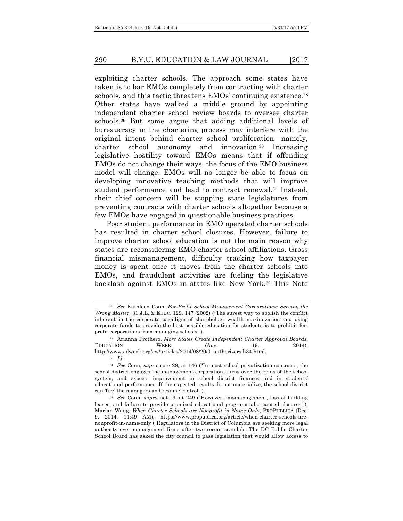exploiting charter schools. The approach some states have taken is to bar EMOs completely from contracting with charter schools, and this tactic threatens EMOs' continuing existence.<sup>28</sup> Other states have walked a middle ground by appointing independent charter school review boards to oversee charter schools.29 But some argue that adding additional levels of bureaucracy in the chartering process may interfere with the original intent behind charter school proliferation—namely, charter school autonomy and innovation.30 Increasing legislative hostility toward EMOs means that if offending EMOs do not change their ways, the focus of the EMO business model will change. EMOs will no longer be able to focus on developing innovative teaching methods that will improve student performance and lead to contract renewal.<sup>31</sup> Instead, their chief concern will be stopping state legislatures from preventing contracts with charter schools altogether because a few EMOs have engaged in questionable business practices.

Poor student performance in EMO operated charter schools has resulted in charter school closures. However, failure to improve charter school education is not the main reason why states are reconsidering EMO-charter school affiliations. Gross financial mismanagement, difficulty tracking how taxpayer money is spent once it moves from the charter schools into EMOs, and fraudulent activities are fueling the legislative backlash against EMOs in states like New York.32 This Note

<sup>28</sup> *See* Kathleen Conn, *For-Profit School Management Corporations: Serving the Wrong Master*, 31 J.L. & EDUC. 129, 147 (2002) ("The surest way to abolish the conflict inherent in the corporate paradigm of shareholder wealth maximization and using corporate funds to provide the best possible education for students is to prohibit forprofit corporations from managing schools.").

<sup>29</sup> Arianna Prothero, *More States Create Independent Charter Approval Boards*,  $EDUCATION$  WEEK  $(Aug. 19, 2014)$ , http://www.edweek.org/ew/articles/2014/08/20/01authorizers.h34.html.

<sup>30</sup> *Id.*

<sup>31</sup> *See* Conn, *supra* note 28, at 146 ("In most school privatization contracts, the school district engages the management corporation, turns over the reins of the school system, and expects improvement in school district finances and in students' educational performance. If the expected results do not materialize, the school district can 'fire' the managers and resume control.").

<sup>32</sup> *See* Conn, *supra* note 9, at 249 ("However, mismanagement, loss of building leases, and failure to provide promised educational programs also caused closures."); Marian Wang, *When Charter Schools are Nonprofit in Name Only*, PROPUBLICA (Dec. 9, 2014, 11:49 AM), https://www.propublica.org/article/when-charter-schools-arenonprofit-in-name-only ("Regulators in the District of Columbia are seeking more legal authority over management firms after two recent scandals. The DC Public Charter School Board has asked the city council to pass legislation that would allow access to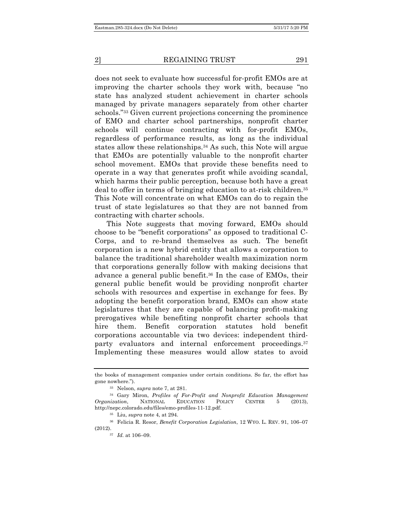does not seek to evaluate how successful for-profit EMOs are at improving the charter schools they work with, because "no state has analyzed student achievement in charter schools managed by private managers separately from other charter schools."33 Given current projections concerning the prominence of EMO and charter school partnerships, nonprofit charter schools will continue contracting with for-profit EMOs, regardless of performance results, as long as the individual states allow these relationships.34 As such, this Note will argue that EMOs are potentially valuable to the nonprofit charter school movement. EMOs that provide these benefits need to operate in a way that generates profit while avoiding scandal, which harms their public perception, because both have a great deal to offer in terms of bringing education to at-risk children.35 This Note will concentrate on what EMOs can do to regain the trust of state legislatures so that they are not banned from contracting with charter schools.

This Note suggests that moving forward, EMOs should choose to be "benefit corporations" as opposed to traditional C-Corps, and to re-brand themselves as such. The benefit corporation is a new hybrid entity that allows a corporation to balance the traditional shareholder wealth maximization norm that corporations generally follow with making decisions that advance a general public benefit.36 In the case of EMOs, their general public benefit would be providing nonprofit charter schools with resources and expertise in exchange for fees. By adopting the benefit corporation brand, EMOs can show state legislatures that they are capable of balancing profit-making prerogatives while benefiting nonprofit charter schools that hire them. Benefit corporation statutes hold benefit corporations accountable via two devices: independent thirdparty evaluators and internal enforcement proceedings.<sup>37</sup> Implementing these measures would allow states to avoid

the books of management companies under certain conditions. So far, the effort has gone nowhere.").

<sup>33</sup> Nelson, *supra* note 7, at 281.

<sup>34</sup> Gary Miron, *Profiles of For-Profit and Nonprofit Education Management Organization*, NATIONAL EDUCATION POLICY CENTER 5 (2013), http://nepc.colorado.edu/files/emo-profiles-11-12.pdf.

<sup>35</sup> Liu, *supra* note 4, at 294.

<sup>36</sup> Felicia R. Resor, *Benefit Corporation Legislation*, 12 WYO. L. REV. 91, 106–07 (2012).

<sup>37</sup> *Id.* at 106–09.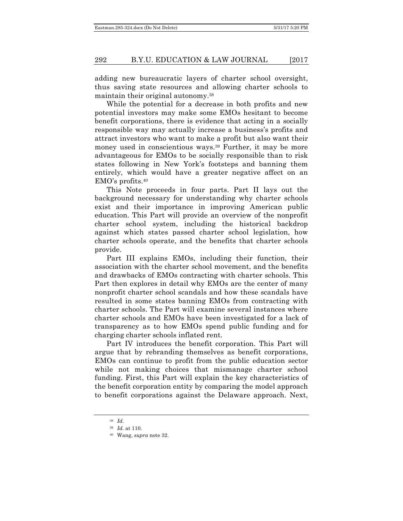adding new bureaucratic layers of charter school oversight, thus saving state resources and allowing charter schools to maintain their original autonomy.38

While the potential for a decrease in both profits and new potential investors may make some EMOs hesitant to become benefit corporations, there is evidence that acting in a socially responsible way may actually increase a business's profits and attract investors who want to make a profit but also want their money used in conscientious ways.<sup>39</sup> Further, it may be more advantageous for EMOs to be socially responsible than to risk states following in New York's footsteps and banning them entirely, which would have a greater negative affect on an EMO's profits.40

This Note proceeds in four parts. Part II lays out the background necessary for understanding why charter schools exist and their importance in improving American public education. This Part will provide an overview of the nonprofit charter school system, including the historical backdrop against which states passed charter school legislation, how charter schools operate, and the benefits that charter schools provide.

Part III explains EMOs, including their function, their association with the charter school movement, and the benefits and drawbacks of EMOs contracting with charter schools. This Part then explores in detail why EMOs are the center of many nonprofit charter school scandals and how these scandals have resulted in some states banning EMOs from contracting with charter schools. The Part will examine several instances where charter schools and EMOs have been investigated for a lack of transparency as to how EMOs spend public funding and for charging charter schools inflated rent.

Part IV introduces the benefit corporation. This Part will argue that by rebranding themselves as benefit corporations, EMOs can continue to profit from the public education sector while not making choices that mismanage charter school funding. First, this Part will explain the key characteristics of the benefit corporation entity by comparing the model approach to benefit corporations against the Delaware approach. Next,

<sup>38</sup> *Id.*

<sup>39</sup> *Id.* at 110.

<sup>40</sup> Wang, *supra* note 32.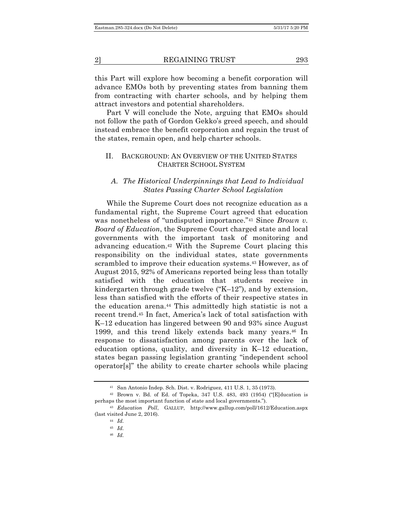this Part will explore how becoming a benefit corporation will advance EMOs both by preventing states from banning them from contracting with charter schools, and by helping them attract investors and potential shareholders.

Part V will conclude the Note, arguing that EMOs should not follow the path of Gordon Gekko's greed speech, and should instead embrace the benefit corporation and regain the trust of the states, remain open, and help charter schools.

#### II. BACKGROUND: AN OVERVIEW OF THE UNITED STATES CHARTER SCHOOL SYSTEM

#### *A. The Historical Underpinnings that Lead to Individual States Passing Charter School Legislation*

While the Supreme Court does not recognize education as a fundamental right, the Supreme Court agreed that education was nonetheless of "undisputed importance."<sup>41</sup> Since *Brown v*. *Board of Education*, the Supreme Court charged state and local governments with the important task of monitoring and advancing education.42 With the Supreme Court placing this responsibility on the individual states, state governments scrambled to improve their education systems.43 However, as of August 2015, 92% of Americans reported being less than totally satisfied with the education that students receive in kindergarten through grade twelve ("K–12"), and by extension, less than satisfied with the efforts of their respective states in the education arena.44 This admittedly high statistic is not a recent trend.45 In fact, America's lack of total satisfaction with K–12 education has lingered between 90 and 93% since August 1999, and this trend likely extends back many years.<sup>46</sup> In response to dissatisfaction among parents over the lack of education options, quality, and diversity in K–12 education, states began passing legislation granting "independent school operator[s]" the ability to create charter schools while placing

<sup>41</sup> San Antonio Indep. Sch. Dist. v. Rodriguez, 411 U.S. 1, 35 (1973).

 $42$  Brown v. Bd. of Ed. of Topeka, 347 U.S. 483, 493 (1954) ("[E]ducation is perhaps the most important function of state and local governments.").

<sup>43</sup> *Education Poll*, GALLUP, http://www.gallup.com/poll/1612/Education.aspx (last visited June 2, 2016).

<sup>44</sup> *Id.*

<sup>45</sup> *Id.*

<sup>46</sup> *Id.*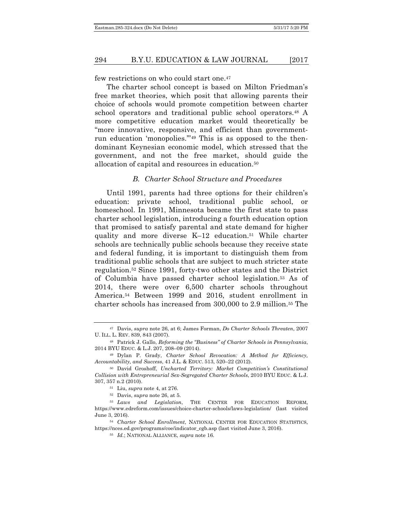few restrictions on who could start one.47

The charter school concept is based on Milton Friedman's free market theories, which posit that allowing parents their choice of schools would promote competition between charter school operators and traditional public school operators.48 A more competitive education market would theoretically be "more innovative, responsive, and efficient than governmentrun education 'monopolies.'"49 This is as opposed to the thendominant Keynesian economic model, which stressed that the government, and not the free market, should guide the allocation of capital and resources in education.50

#### *B. Charter School Structure and Procedures*

Until 1991, parents had three options for their children's education: private school, traditional public school, or homeschool. In 1991, Minnesota became the first state to pass charter school legislation, introducing a fourth education option that promised to satisfy parental and state demand for higher quality and more diverse K–12 education.51 While charter schools are technically public schools because they receive state and federal funding, it is important to distinguish them from traditional public schools that are subject to much stricter state regulation.52 Since 1991, forty-two other states and the District of Columbia have passed charter school legislation.53 As of 2014, there were over 6,500 charter schools throughout America.54 Between 1999 and 2016, student enrollment in charter schools has increased from 300,000 to 2.9 million.55 The

<sup>47</sup> Davis, *supra* note 26, at 6; James Forman, *Do Charter Schools Threaten*, 2007 U. ILL. L. REV. 839, 843 (2007).

<sup>48</sup> Patrick J. Gallo, *Reforming the "Business" of Charter Schools in Pennsylvania*, 2014 BYU EDUC. & L.J. 207, 208–09 (2014).

<sup>49</sup> Dylan P. Grady, *Charter School Revocation: A Method for Efficiency, Accountability, and Success*, 41 J.L. & EDUC. 513, 520–22 (2012).

<sup>50</sup> David Groshoff, *Uncharted Territory: Market Competition's Constitutional Collision with Entrepreneurial Sex-Segregated Charter Schools*, 2010 BYU EDUC. & L.J. 307, 357 n.2 (2010).

<sup>51</sup> Liu, *supra* note 4, at 276.

<sup>52</sup> Davis, *supra* note 26, at 5.

<sup>53</sup> *Laws and Legislation*, THE CENTER FOR EDUCATION REFORM, https://www.edreform.com/issues/choice-charter-schools/laws-legislation/ (last visited June 3, 2016).

<sup>54</sup> *Charter School Enrollment*, NATIONAL CENTER FOR EDUCATION STATISTICS, https://nces.ed.gov/programs/coe/indicator\_cgb.asp (last visited June 3, 2016).

<sup>55</sup> *Id.*; NATIONAL ALLIANCE, *supra* note 16.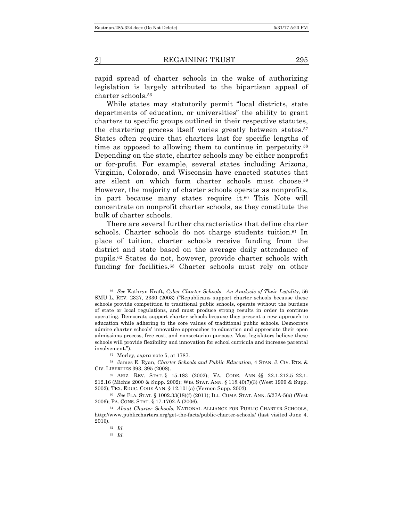rapid spread of charter schools in the wake of authorizing legislation is largely attributed to the bipartisan appeal of charter schools.56

While states may statutorily permit "local districts, state departments of education, or universities" the ability to grant charters to specific groups outlined in their respective statutes, the chartering process itself varies greatly between states.57 States often require that charters last for specific lengths of time as opposed to allowing them to continue in perpetuity.58 Depending on the state, charter schools may be either nonprofit or for-profit. For example, several states including Arizona, Virginia, Colorado, and Wisconsin have enacted statutes that are silent on which form charter schools must choose.59 However, the majority of charter schools operate as nonprofits, in part because many states require it.60 This Note will concentrate on nonprofit charter schools, as they constitute the bulk of charter schools.

There are several further characteristics that define charter schools. Charter schools do not charge students tuition.<sup>61</sup> In place of tuition, charter schools receive funding from the district and state based on the average daily attendance of pupils.62 States do not, however, provide charter schools with funding for facilities.63 Charter schools must rely on other

<sup>56</sup> *See* Kathryn Kraft, *Cyber Charter Schools—An Analysis of Their Legality*, 56 SMU L. REV. 2327, 2330 (2003) ("Republicans support charter schools because these schools provide competition to traditional public schools, operate without the burdens of state or local regulations, and must produce strong results in order to continue operating. Democrats support charter schools because they present a new approach to education while adhering to the core values of traditional public schools. Democrats admire charter schools' innovative approaches to education and appreciate their open admissions process, free cost, and nonsectarian purpose. Most legislators believe these schools will provide flexibility and innovation for school curricula and increase parental involvement.").

<sup>57</sup> Morley, *supra* note 5, at 1787.

<sup>58</sup> James E. Ryan, *Charter Schools and Public Education*, 4 STAN. J. CIV. RTS. & CIV. LIBERTIES 393, 395 (2008).

<sup>59</sup> ARIZ. REV. STAT. § 15-183 (2002); VA. CODE. ANN. §§ 22.1-212.5–22.1- 212.16 (Michie 2000 & Supp. 2002); WIS. STAT. ANN. § 118.40(7)(3) (West 1999 & Supp. 2002); TEX. EDUC. CODE ANN. § 12.101(a) (Vernon Supp. 2003).

<sup>60</sup> *See* FLA. STAT. § 1002.33(18)(f) (2011); ILL. COMP. STAT. ANN. 5/27A-5(a) (West 2006); PA. CONS. STAT. § 17-1702-A (2006).

<sup>61</sup> *About Charter Schools*, NATIONAL ALLIANCE FOR PUBLIC CHARTER SCHOOLS, http://www.publiccharters.org/get-the-facts/public-charter-schools/ (last visited June 4, 2016).

<sup>62</sup> *Id.*

<sup>63</sup> *Id.*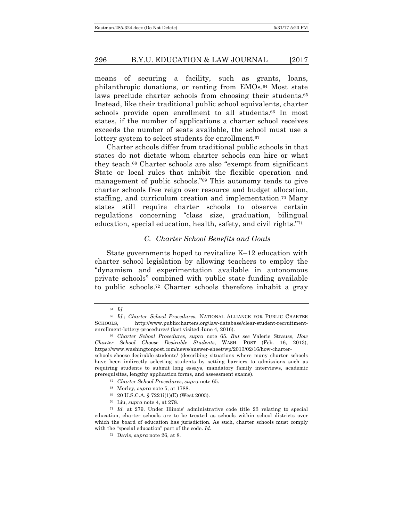means of securing a facility, such as grants, loans, philanthropic donations, or renting from EMOs.64 Most state laws preclude charter schools from choosing their students.<sup>65</sup> Instead, like their traditional public school equivalents, charter schools provide open enrollment to all students.<sup>66</sup> In most states, if the number of applications a charter school receives exceeds the number of seats available, the school must use a lottery system to select students for enrollment.<sup>67</sup>

Charter schools differ from traditional public schools in that states do not dictate whom charter schools can hire or what they teach.68 Charter schools are also "exempt from significant State or local rules that inhibit the flexible operation and management of public schools."69 This autonomy tends to give charter schools free reign over resource and budget allocation, staffing, and curriculum creation and implementation.70 Many states still require charter schools to observe certain regulations concerning "class size, graduation, bilingual education, special education, health, safety, and civil rights."71

#### *C. Charter School Benefits and Goals*

State governments hoped to revitalize K–12 education with charter school legislation by allowing teachers to employ the "dynamism and experimentation available in autonomous private schools" combined with public state funding available to public schools.72 Charter schools therefore inhabit a gray

- <sup>67</sup> *Charter School Procedures*, *supra* note 65.
- <sup>68</sup> Morley, *supra* note 5, at 1788.
- <sup>69</sup> 20 U.S.C.A. § 7221i(1)(E) (West 2003).
- <sup>70</sup> Liu, *supra* note 4, at 278.

<sup>72</sup> Davis, *supra* note 26, at 8.

<sup>64</sup> *Id.*

<sup>65</sup> *Id.*; *Charter School Procedures*, NATIONAL ALLIANCE FOR PUBLIC CHARTER SCHOOLS, http://www.publiccharters.org/law-database/clear-student-recruitmentenrollment-lottery-procedures/ (last visited June 4, 2016).

<sup>66</sup> *Charter School Procedures*, *supra* note 65. *But see* Valerie Strauss, *How Charter School Choose Desirable Students*, WASH. POST (Feb. 16, 2013), https://www.washingtonpost.com/news/answer-sheet/wp/2013/02/16/how-charterschools-choose-desirable-students/ (describing situations where many charter schools have been indirectly selecting students by setting barriers to admissions such as requiring students to submit long essays, mandatory family interviews, academic prerequisites, lengthy application forms, and assessment exams).

<sup>71</sup> *Id.* at 279. Under Illinois' administrative code title 23 relating to special education, charter schools are to be treated as schools within school districts over which the board of education has jurisdiction. As such, charter schools must comply with the "special education" part of the code. *Id.*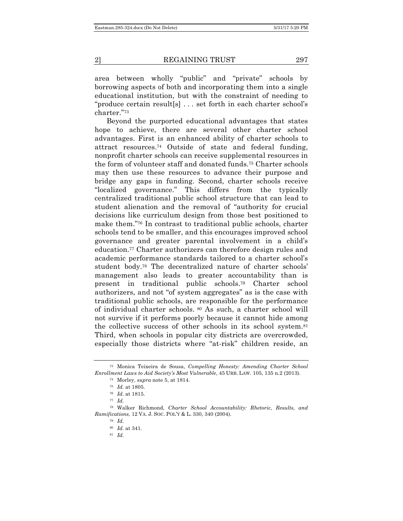area between wholly "public" and "private" schools by borrowing aspects of both and incorporating them into a single educational institution, but with the constraint of needing to "produce certain result[s] . . . set forth in each charter school's charter."73

Beyond the purported educational advantages that states hope to achieve, there are several other charter school advantages. First is an enhanced ability of charter schools to attract resources.74 Outside of state and federal funding, nonprofit charter schools can receive supplemental resources in the form of volunteer staff and donated funds.75 Charter schools may then use these resources to advance their purpose and bridge any gaps in funding. Second, charter schools receive "localized governance." This differs from the typically centralized traditional public school structure that can lead to student alienation and the removal of "authority for crucial decisions like curriculum design from those best positioned to make them."76 In contrast to traditional public schools, charter schools tend to be smaller, and this encourages improved school governance and greater parental involvement in a child's education.77 Charter authorizers can therefore design rules and academic performance standards tailored to a charter school's student body.78 The decentralized nature of charter schools' management also leads to greater accountability than is present in traditional public schools.79 Charter school authorizers, and not "of system aggregates" as is the case with traditional public schools, are responsible for the performance of individual charter schools. <sup>80</sup> As such, a charter school will not survive if it performs poorly because it cannot hide among the collective success of other schools in its school system.81 Third, when schools in popular city districts are overcrowded, especially those districts where "at-risk" children reside, an

<sup>73</sup> Monica Teixeira de Sousa, *Compelling Honesty: Amending Charter School Enrollment Laws to Aid Society's Most Vulnerable*, 45 URB. LAW. 105, 135 n.2 (2013).

<sup>74</sup> Morley, *supra* note 5, at 1814.

<sup>75</sup> *Id.* at 1805.

<sup>76</sup> *Id.* at 1815.

<sup>77</sup> *Id.*

<sup>78</sup> Walker Richmond, *Charter School Accountability: Rhetoric, Results, and Ramifications*, 12 VA. J. SOC. POL'Y & L. 330, 340 (2004).

<sup>79</sup> *Id.*

<sup>80</sup> *Id.* at 341.

<sup>81</sup> *Id.*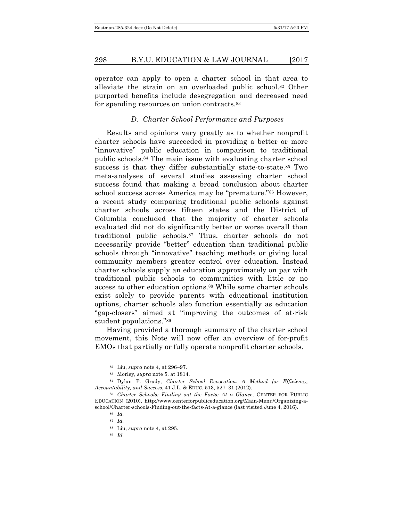operator can apply to open a charter school in that area to alleviate the strain on an overloaded public school.<sup>82</sup> Other purported benefits include desegregation and decreased need for spending resources on union contracts.83

#### *D. Charter School Performance and Purposes*

Results and opinions vary greatly as to whether nonprofit charter schools have succeeded in providing a better or more "innovative" public education in comparison to traditional public schools.84 The main issue with evaluating charter school success is that they differ substantially state-to-state.<sup>85</sup> Two meta-analyses of several studies assessing charter school success found that making a broad conclusion about charter school success across America may be "premature."86 However, a recent study comparing traditional public schools against charter schools across fifteen states and the District of Columbia concluded that the majority of charter schools evaluated did not do significantly better or worse overall than traditional public schools.87 Thus, charter schools do not necessarily provide "better" education than traditional public schools through "innovative" teaching methods or giving local community members greater control over education. Instead charter schools supply an education approximately on par with traditional public schools to communities with little or no access to other education options.88 While some charter schools exist solely to provide parents with educational institution options, charter schools also function essentially as education "gap-closers" aimed at "improving the outcomes of at-risk student populations."89

Having provided a thorough summary of the charter school movement, this Note will now offer an overview of for-profit EMOs that partially or fully operate nonprofit charter schools.

<sup>82</sup> Liu, *supra* note 4, at 296–97.

<sup>83</sup> Morley, *supra* note 5, at 1814.

<sup>84</sup> Dylan P. Grady, *Charter School Revocation: A Method for Efficiency, Accountability, and Success*, 41 J.L. & EDUC. 513, 527–31 (2012).

<sup>85</sup> *Charter Schools: Finding out the Facts: At a Glance*, CENTER FOR PUBLIC EDUCATION (2010), http://www.centerforpubliceducation.org/Main-Menu/Organizing-aschool/Charter-schools-Finding-out-the-facts-At-a-glance (last visited June 4, 2016).

<sup>86</sup> *Id.*

<sup>87</sup> *Id.*

<sup>88</sup> Liu, *supra* note 4, at 295.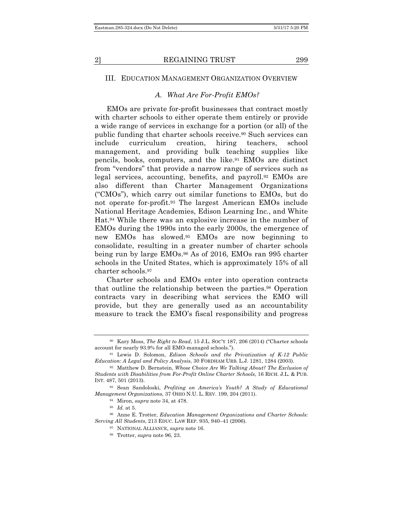#### III. EDUCATION MANAGEMENT ORGANIZATION OVERVIEW

#### *A. What Are For-Profit EMOs?*

EMOs are private for-profit businesses that contract mostly with charter schools to either operate them entirely or provide a wide range of services in exchange for a portion (or all) of the public funding that charter schools receive.90 Such services can include curriculum creation, hiring teachers, school management, and providing bulk teaching supplies like pencils, books, computers, and the like.91 EMOs are distinct from "vendors" that provide a narrow range of services such as legal services, accounting, benefits, and payroll.92 EMOs are also different than Charter Management Organizations ("CMOs"), which carry out similar functions to EMOs, but do not operate for-profit.93 The largest American EMOs include National Heritage Academies, Edison Learning Inc., and White Hat.94 While there was an explosive increase in the number of EMOs during the 1990s into the early 2000s, the emergence of new EMOs has slowed.95 EMOs are now beginning to consolidate, resulting in a greater number of charter schools being run by large EMOs.96 As of 2016, EMOs ran 995 charter schools in the United States, which is approximately 15% of all charter schools.97

Charter schools and EMOs enter into operation contracts that outline the relationship between the parties.<sup>98</sup> Operation contracts vary in describing what services the EMO will provide, but they are generally used as an accountability measure to track the EMO's fiscal responsibility and progress

<sup>90</sup> Kary Moss, *The Right to Read*, 15 J.L. SOC'Y 187, 206 (2014) ("Charter schools account for nearly 93.9% for all EMO-managed schools.").

<sup>91</sup> Lewis D. Solomon, *Edison Schools and the Privatization of K-12 Public Education: A Legal and Policy Analysis*, 30 FORDHAM URB. L.J. 1281, 1284 (2003).

<sup>92</sup> Matthew D. Bernstein, *Whose Choice Are We Talking About? The Exclusion of Students with Disabilities from For-Profit Online Charter Schools*, 16 RICH. J.L. & PUB. INT. 487, 501 (2013).

<sup>93</sup> Sean Sandoloski, *Profiting on America's Youth? A Study of Educational Management Organizations,* 37 OHIO N.U. L. REV. 199, 204 (2011).

<sup>94</sup> Miron, *supra* note 34, at 478.

<sup>95</sup> *Id.* at 5.

<sup>96</sup> Anne E. Trotter, *Education Management Organizations and Charter Schools: Serving All Students*, 213 EDUC. LAW REP. 935, 940–41 (2006).

<sup>97</sup> NATIONAL ALLIANCE, *supra* note 16.

<sup>98</sup> Trotter, *supra* note 96, 23.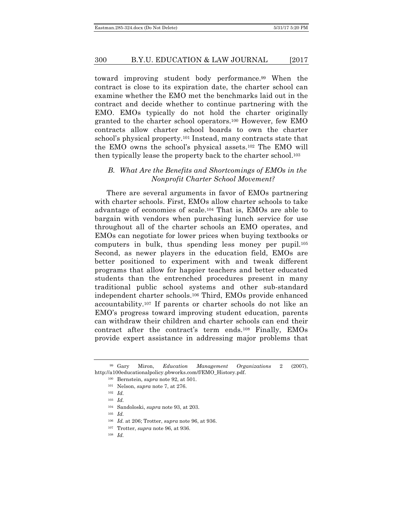toward improving student body performance.99 When the contract is close to its expiration date, the charter school can examine whether the EMO met the benchmarks laid out in the contract and decide whether to continue partnering with the EMO. EMOs typically do not hold the charter originally granted to the charter school operators.100 However, few EMO contracts allow charter school boards to own the charter school's physical property.101 Instead, many contracts state that the EMO owns the school's physical assets.102 The EMO will then typically lease the property back to the charter school.103

#### *B. What Are the Benefits and Shortcomings of EMOs in the Nonprofit Charter School Movement?*

There are several arguments in favor of EMOs partnering with charter schools. First, EMOs allow charter schools to take advantage of economies of scale.104 That is, EMOs are able to bargain with vendors when purchasing lunch service for use throughout all of the charter schools an EMO operates, and EMOs can negotiate for lower prices when buying textbooks or computers in bulk, thus spending less money per pupil.105 Second, as newer players in the education field, EMOs are better positioned to experiment with and tweak different programs that allow for happier teachers and better educated students than the entrenched procedures present in many traditional public school systems and other sub-standard independent charter schools.106 Third, EMOs provide enhanced accountability.107 If parents or charter schools do not like an EMO's progress toward improving student education, parents can withdraw their children and charter schools can end their contract after the contract's term ends.108 Finally, EMOs provide expert assistance in addressing major problems that

- <sup>102</sup> *Id.*
- <sup>103</sup> *Id.*

<sup>105</sup> *Id.*

<sup>108</sup> *Id.*

<sup>99</sup> Gary Miron, *Education Management Organizations* 2 (2007), http://a100educationalpolicy.pbworks.com/f/EMO\_History.pdf.

<sup>100</sup> Bernstein, *supra* note 92, at 501.

<sup>101</sup> Nelson, *supra* note 7, at 276.

<sup>104</sup> Sandoloski, *supra* note 93, at 203.

<sup>106</sup> *Id.* at 206; Trotter, *supra* note 96, at 936.

<sup>107</sup> Trotter, *supra* note 96, at 936.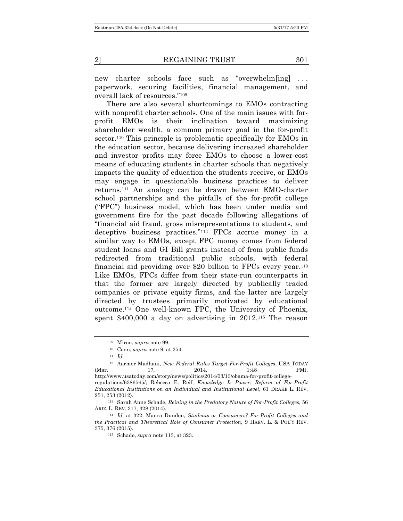new charter schools face such as "overwhelm[ing] ... paperwork, securing facilities, financial management, and overall lack of resources."109

There are also several shortcomings to EMOs contracting with nonprofit charter schools. One of the main issues with forprofit EMOs is their inclination toward maximizing shareholder wealth, a common primary goal in the for-profit sector.110 This principle is problematic specifically for EMOs in the education sector, because delivering increased shareholder and investor profits may force EMOs to choose a lower-cost means of educating students in charter schools that negatively impacts the quality of education the students receive, or EMOs may engage in questionable business practices to deliver returns.111 An analogy can be drawn between EMO-charter school partnerships and the pitfalls of the for-profit college ("FPC") business model, which has been under media and government fire for the past decade following allegations of "financial aid fraud, gross misrepresentations to students, and deceptive business practices."112 FPCs accrue money in a similar way to EMOs, except FPC money comes from federal student loans and GI Bill grants instead of from public funds redirected from traditional public schools, with federal financial aid providing over \$20 billion to FPCs every year.113 Like EMOs, FPCs differ from their state-run counterparts in that the former are largely directed by publically traded companies or private equity firms, and the latter are largely directed by trustees primarily motivated by educational outcome.114 One well-known FPC, the University of Phoenix, spent \$400,000 a day on advertising in 2012.115 The reason

<sup>109</sup> Miron, *supra* note 99.

<sup>110</sup> Conn, *supra* note 9, at 254.

<sup>111</sup> *Id.*

<sup>112</sup> Aarmer Madhani, *New Federal Rules Target For-Profit Colleges*, USA TODAY (Mar. 17, 2014, 1:48 PM), http://www.usatoday.com/story/news/politics/2014/03/13/obama-for-profit-collegeregulations/6386565/; Rebecca E. Reif, *Knowledge Is Power: Reform of For-Profit Educational Institutions on an Individual and Institutional Level*, 61 DRAKE L. REV. 251, 253 (2012).

<sup>113</sup> Sarah Anne Schade, *Reining in the Predatory Nature of For-Profit Colleges*, 56 ARIZ. L. REV. 317, 328 (2014).

<sup>114</sup> *Id.* at 322; Maura Dundon, *Students or Consumers? For-Profit Colleges and the Practical and Theoretical Role of Consumer Protection*, 9 HARV. L. & POL'Y REV. 375, 376 (2015).

<sup>115</sup> Schade, *supra* note 113, at 323.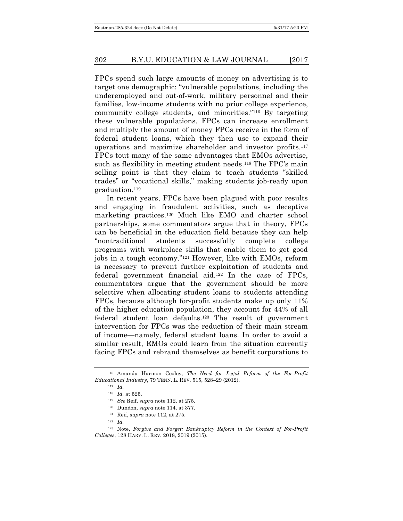FPCs spend such large amounts of money on advertising is to target one demographic: "vulnerable populations, including the underemployed and out-of-work, military personnel and their families, low-income students with no prior college experience, community college students, and minorities."116 By targeting these vulnerable populations, FPCs can increase enrollment and multiply the amount of money FPCs receive in the form of federal student loans, which they then use to expand their operations and maximize shareholder and investor profits.117 FPCs tout many of the same advantages that EMOs advertise, such as flexibility in meeting student needs.<sup>118</sup> The FPC's main selling point is that they claim to teach students "skilled trades" or "vocational skills," making students job-ready upon graduation.119

In recent years, FPCs have been plagued with poor results and engaging in fraudulent activities, such as deceptive marketing practices.120 Much like EMO and charter school partnerships, some commentators argue that in theory, FPCs can be beneficial in the education field because they can help "nontraditional students successfully complete college programs with workplace skills that enable them to get good jobs in a tough economy."121 However, like with EMOs, reform is necessary to prevent further exploitation of students and federal government financial aid.122 In the case of FPCs, commentators argue that the government should be more selective when allocating student loans to students attending FPCs, because although for-profit students make up only 11% of the higher education population, they account for 44% of all federal student loan defaults.123 The result of government intervention for FPCs was the reduction of their main stream of income—namely, federal student loans. In order to avoid a similar result, EMOs could learn from the situation currently facing FPCs and rebrand themselves as benefit corporations to

- <sup>119</sup> *See* Reif, *supra* note 112, at 275.
- <sup>120</sup> Dundon, *supra* note 114, at 377.
- <sup>121</sup> Reif, *supra* note 112, at 275.
- <sup>122</sup> *Id.*

<sup>116</sup> Amanda Harmon Cooley, *The Need for Legal Reform of the For-Profit Educational Industry*, 79 TENN. L. REV. 515, 528–29 (2012).

<sup>117</sup> *Id.*

<sup>118</sup> *Id.* at 525.

<sup>123</sup> Note, *Forgive and Forget: Bankruptcy Reform in the Context of For-Profit Colleges*, 128 HARV. L. REV. 2018, 2019 (2015).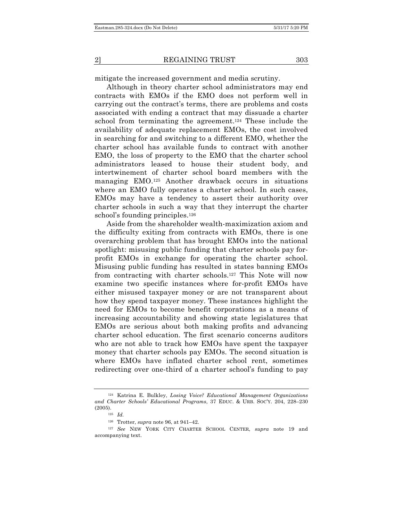mitigate the increased government and media scrutiny.

Although in theory charter school administrators may end contracts with EMOs if the EMO does not perform well in carrying out the contract's terms, there are problems and costs associated with ending a contract that may dissuade a charter school from terminating the agreement.124 These include the availability of adequate replacement EMOs, the cost involved in searching for and switching to a different EMO, whether the charter school has available funds to contract with another EMO, the loss of property to the EMO that the charter school administrators leased to house their student body, and intertwinement of charter school board members with the managing EMO.125 Another drawback occurs in situations where an EMO fully operates a charter school. In such cases, EMOs may have a tendency to assert their authority over charter schools in such a way that they interrupt the charter school's founding principles.<sup>126</sup>

Aside from the shareholder wealth-maximization axiom and the difficulty exiting from contracts with EMOs, there is one overarching problem that has brought EMOs into the national spotlight: misusing public funding that charter schools pay forprofit EMOs in exchange for operating the charter school. Misusing public funding has resulted in states banning EMOs from contracting with charter schools.127 This Note will now examine two specific instances where for-profit EMOs have either misused taxpayer money or are not transparent about how they spend taxpayer money. These instances highlight the need for EMOs to become benefit corporations as a means of increasing accountability and showing state legislatures that EMOs are serious about both making profits and advancing charter school education. The first scenario concerns auditors who are not able to track how EMOs have spent the taxpayer money that charter schools pay EMOs. The second situation is where EMOs have inflated charter school rent, sometimes redirecting over one-third of a charter school's funding to pay

<sup>124</sup> Katrina E. Bulkley, *Losing Voice? Educational Management Organizations and Charter Schools' Educational Programs*, 37 EDUC. & URB. SOC'Y. 204, 228–230 (2005).

<sup>125</sup> *Id.*

<sup>126</sup> Trotter, *supra* note 96, at 941–42.

<sup>127</sup> *See* NEW YORK CITY CHARTER SCHOOL CENTER, *supra* note 19 and accompanying text.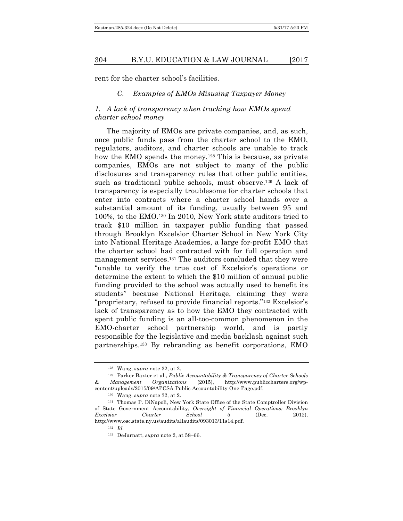rent for the charter school's facilities.

#### *C. Examples of EMOs Misusing Taxpayer Money*

# *1. A lack of transparency when tracking how EMOs spend charter school money*

The majority of EMOs are private companies, and, as such, once public funds pass from the charter school to the EMO, regulators, auditors, and charter schools are unable to track how the EMO spends the money.<sup>128</sup> This is because, as private companies, EMOs are not subject to many of the public disclosures and transparency rules that other public entities, such as traditional public schools, must observe.129 A lack of transparency is especially troublesome for charter schools that enter into contracts where a charter school hands over a substantial amount of its funding, usually between 95 and 100%, to the EMO.130 In 2010, New York state auditors tried to track \$10 million in taxpayer public funding that passed through Brooklyn Excelsior Charter School in New York City into National Heritage Academies, a large for-profit EMO that the charter school had contracted with for full operation and management services.131 The auditors concluded that they were "unable to verify the true cost of Excelsior's operations or determine the extent to which the \$10 million of annual public funding provided to the school was actually used to benefit its students" because National Heritage, claiming they were "proprietary, refused to provide financial reports."132 Excelsior's lack of transparency as to how the EMO they contracted with spent public funding is an all-too-common phenomenon in the EMO-charter school partnership world, and is partly responsible for the legislative and media backlash against such partnerships.133 By rebranding as benefit corporations, EMO

<sup>128</sup> Wang, *supra* note 32, at 2.

<sup>129</sup> Parker Baxter et al., *Public Accountability & Transparency of Charter Schools & Management Organizations* (2015), http://www.publiccharters.org/wpcontent/uploads/2015/09/APCSA-Public-Accountability-One-Page.pdf.

<sup>130</sup> Wang, *supra* note 32, at 2.

<sup>131</sup> Thomas P. DiNapoli, New York State Office of the State Comptroller Division of State Government Accountability, *Oversight of Financial Operations: Brooklyn Excelsior Charter School* 5 (Dec. 2012), http://www.osc.state.ny.us/audits/allaudits/093013/11s14.pdf.

<sup>132</sup> *Id.*

<sup>133</sup> DeJarnatt, *supra* note 2, at 58–66.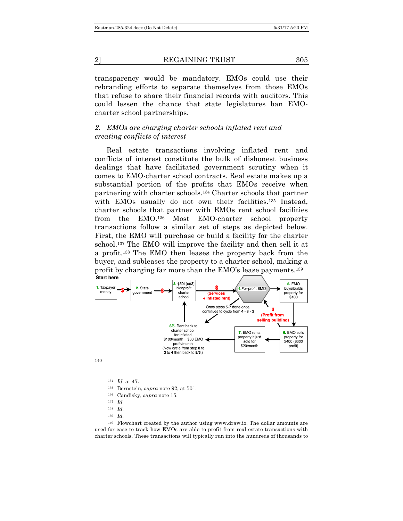transparency would be mandatory. EMOs could use their rebranding efforts to separate themselves from those EMOs that refuse to share their financial records with auditors. This could lessen the chance that state legislatures ban EMOcharter school partnerships.

# *2. EMOs are charging charter schools inflated rent and creating conflicts of interest*

Real estate transactions involving inflated rent and conflicts of interest constitute the bulk of dishonest business dealings that have facilitated government scrutiny when it comes to EMO-charter school contracts. Real estate makes up a substantial portion of the profits that EMOs receive when partnering with charter schools.134 Charter schools that partner with EMOs usually do not own their facilities.<sup>135</sup> Instead, charter schools that partner with EMOs rent school facilities from the EMO.136 Most EMO-charter school property transactions follow a similar set of steps as depicted below. First, the EMO will purchase or build a facility for the charter school.137 The EMO will improve the facility and then sell it at a profit.138 The EMO then leases the property back from the buyer, and subleases the property to a charter school, making a profit by charging far more than the EMO's lease payments.139 **Start here** 



140

<sup>134</sup> *Id.* at 47.

- <sup>136</sup> Candisky, *supra* note 15.
- <sup>137</sup> *Id.*
- <sup>138</sup> *Id.*
- <sup>139</sup> *Id.*

<sup>140</sup> Flowchart created by the author using www.draw.io. The dollar amounts are used for ease to track how EMOs are able to profit from real estate transactions with charter schools. These transactions will typically run into the hundreds of thousands to

<sup>135</sup> Bernstein, *supra* note 92, at 501.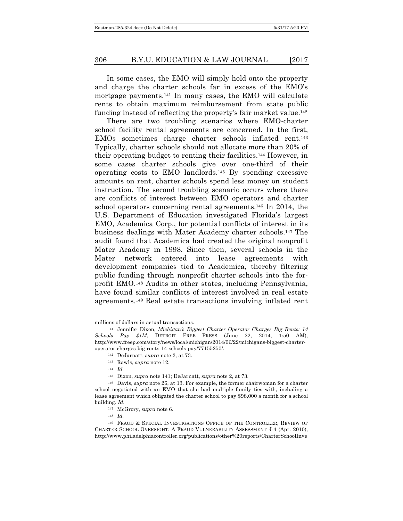In some cases, the EMO will simply hold onto the property and charge the charter schools far in excess of the EMO's mortgage payments.141 In many cases, the EMO will calculate rents to obtain maximum reimbursement from state public funding instead of reflecting the property's fair market value.<sup>142</sup>

There are two troubling scenarios where EMO-charter school facility rental agreements are concerned. In the first, EMOs sometimes charge charter schools inflated rent.143 Typically, charter schools should not allocate more than 20% of their operating budget to renting their facilities.144 However, in some cases charter schools give over one-third of their operating costs to EMO landlords.145 By spending excessive amounts on rent, charter schools spend less money on student instruction. The second troubling scenario occurs where there are conflicts of interest between EMO operators and charter school operators concerning rental agreements.146 In 2014, the U.S. Department of Education investigated Florida's largest EMO, Academica Corp., for potential conflicts of interest in its business dealings with Mater Academy charter schools.147 The audit found that Academica had created the original nonprofit Mater Academy in 1998. Since then, several schools in the Mater network entered into lease agreements with development companies tied to Academica, thereby filtering public funding through nonprofit charter schools into the forprofit EMO.148 Audits in other states, including Pennsylvania, have found similar conflicts of interest involved in real estate agreements.149 Real estate transactions involving inflated rent

<sup>148</sup> *Id.*

<sup>149</sup> FRAUD & SPECIAL INVESTIGATIONS OFFICE OF THE CONTROLLER, REVIEW OF CHARTER SCHOOL OVERSIGHT: A FRAUD VULNERABILITY ASSESSMENT J-4 (Apr. 2010), http://www.philadelphiacontroller.org/publications/other%20reports/CharterSchoolInve

millions of dollars in actual transactions.

<sup>141</sup> Jennifer Dixon, *Michigan's Biggest Charter Operator Charges Big Rents: 14 Schools Pay \$1M*, DETROIT FREE PRESS (June 22, 2014, 1:50 AM), http://www.freep.com/story/news/local/michigan/2014/06/22/michigans-biggest-charteroperator-charges-big-rents-14-schools-pay/77155250/.

<sup>142</sup> DeJarnatt, *supra* note 2, at 73.

<sup>143</sup> Rawls, *supra* note 12.

<sup>144</sup> *Id.*

<sup>145</sup> Dixon, *supra* note 141; DeJarnatt, *supra* note 2, at 73.

<sup>146</sup> Davis, *supra* note 26, at 13. For example, the former chairwoman for a charter school negotiated with an EMO that she had multiple family ties with, including a lease agreement which obligated the charter school to pay \$98,000 a month for a school building. *Id.*

<sup>147</sup> McGrory, *supra* note 6.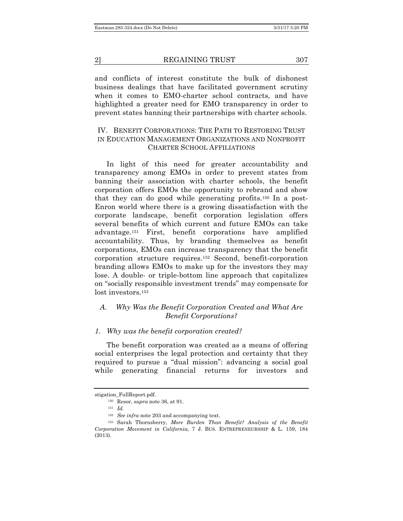and conflicts of interest constitute the bulk of dishonest business dealings that have facilitated government scrutiny when it comes to EMO-charter school contracts, and have highlighted a greater need for EMO transparency in order to prevent states banning their partnerships with charter schools.

# IV. BENEFIT CORPORATIONS: THE PATH TO RESTORING TRUST IN EDUCATION MANAGEMENT ORGANIZATIONS AND NONPROFIT CHARTER SCHOOL AFFILIATIONS

In light of this need for greater accountability and transparency among EMOs in order to prevent states from banning their association with charter schools, the benefit corporation offers EMOs the opportunity to rebrand and show that they can do good while generating profits.150 In a post-Enron world where there is a growing dissatisfaction with the corporate landscape, benefit corporation legislation offers several benefits of which current and future EMOs can take advantage.151 First, benefit corporations have amplified accountability. Thus, by branding themselves as benefit corporations, EMOs can increase transparency that the benefit corporation structure requires.152 Second, benefit-corporation branding allows EMOs to make up for the investors they may lose. A double- or triple-bottom line approach that capitalizes on "socially responsible investment trends" may compensate for lost investors<sup>153</sup>

# *A. Why Was the Benefit Corporation Created and What Are Benefit Corporations?*

#### *1. Why was the benefit corporation created?*

The benefit corporation was created as a means of offering social enterprises the legal protection and certainty that they required to pursue a "dual mission": advancing a social goal while generating financial returns for investors and

stigation\_FullReport.pdf.

<sup>150</sup> Resor, *supra* note 36, at 91.

<sup>151</sup> *Id.*

<sup>152</sup> *See infra* note 203 and accompanying text.

<sup>153</sup> Sarah Thornsberry, *More Burden Than Benefit? Analysis of the Benefit Corporation Movement in California*, 7 J. BUS. ENTREPRENEURSHIP & L. 159, 184 (2013).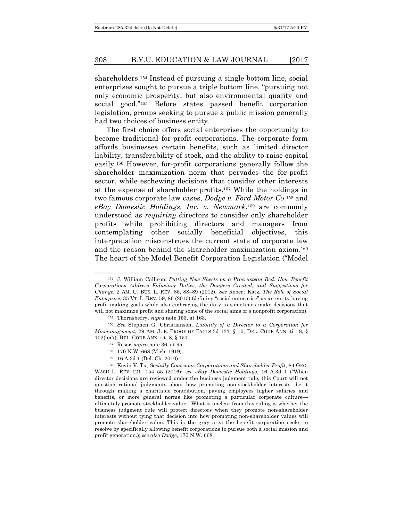shareholders.154 Instead of pursuing a single bottom line, social enterprises sought to pursue a triple bottom line, "pursuing not only economic prosperity, but also environmental quality and social good."155 Before states passed benefit corporation legislation, groups seeking to pursue a public mission generally had two choices of business entity.

The first choice offers social enterprises the opportunity to become traditional for-profit corporations. The corporate form affords businesses certain benefits, such as limited director liability, transferability of stock, and the ability to raise capital easily.156 However, for-profit corporations generally follow the shareholder maximization norm that pervades the for-profit sector, while eschewing decisions that consider other interests at the expense of shareholder profits.157 While the holdings in two famous corporate law cases, *Dodge v. Ford Motor Co*.158 and *eBay Domestic Holdings, Inc. v. Newmark*,159 are commonly understood as *requiring* directors to consider only shareholder profits while prohibiting directors and managers from contemplating other socially beneficial objectives, this interpretation misconstrues the current state of corporate law and the reason behind the shareholder maximization axiom.160 The heart of the Model Benefit Corporation Legislation ("Model

- <sup>157</sup> Resor, *supra* note 36, at 95.
- <sup>158</sup> 170 N.W. 668 (Mich. 1919).
- <sup>159</sup> 16 A.3d 1 (Del. Ch. 2010).

<sup>160</sup> Kevin V. Tu, *Socially Conscious Corporations and Shareholder Profit*, 84 GEO. WASH L. REV 121, 154–55 (2016); *see eBay Domestic Holdings*, 16 A.3d 1 ("When director decisions are reviewed under the business judgment rule, this Court will not question rational judgments about how promoting non-stockholder interests—be it through making a charitable contribution, paying employees higher salaries and benefits, or more general norms like promoting a particular corporate culture ultimately promote stockholder value." What is unclear from this ruling is whether the business judgment rule will protect directors when they promote non-shareholder interests without tying that decision into how promoting non-shareholder values will promote shareholder value. This is the gray area the benefit corporation seeks to resolve by specifically allowing benefit corporations to pursue both a social mission and profit generation.); *see also Dodge*, 170 N.W. 668.

<sup>154</sup> J. William Callison, *Putting New Sheets on a Procrustean Bed: How Benefit Corporations Address Fiduciary Duties, the Dangers Created, and Suggestions for Change*, 2 AM. U. BUS. L. REV. 85, 88–89 (2012). *See* Robert Katz, *The Role of Social Enterprise*, 35 VT. L. REV. 59, 86 (2010) (defining "social enterprise" as an entity having profit-making goals while also embracing the duty to sometimes make decisions that will not maximize profit and sharing some of the social aims of a nonprofit corporation).

<sup>155</sup> Thornsberry, *supra* note 153, at 163.

<sup>156</sup> *See* Stephen G. Christianson, *Liability of a Director to a Corporation for Mismanagement*, 29 AM. JUR. PROOF OF FACTS 3d 133, § 10; DEL. CODE ANN. tit. 8, § 102(b)(7); DEL. CODE ANN. tit. 8, § 151.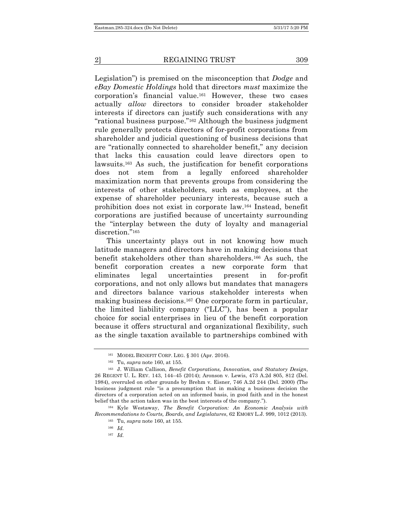Legislation") is premised on the misconception that *Dodge* and *eBay Domestic Holdings* hold that directors *must* maximize the corporation's financial value.161 However, these two cases actually *allow* directors to consider broader stakeholder interests if directors can justify such considerations with any "rational business purpose."162 Although the business judgment rule generally protects directors of for-profit corporations from shareholder and judicial questioning of business decisions that are "rationally connected to shareholder benefit," any decision that lacks this causation could leave directors open to lawsuits.163 As such, the justification for benefit corporations does not stem from a legally enforced shareholder maximization norm that prevents groups from considering the interests of other stakeholders, such as employees, at the expense of shareholder pecuniary interests, because such a prohibition does not exist in corporate law.164 Instead, benefit corporations are justified because of uncertainty surrounding the "interplay between the duty of loyalty and managerial discretion."165

This uncertainty plays out in not knowing how much latitude managers and directors have in making decisions that benefit stakeholders other than shareholders.166 As such, the benefit corporation creates a new corporate form that eliminates legal uncertainties present in for-profit corporations, and not only allows but mandates that managers and directors balance various stakeholder interests when making business decisions.167 One corporate form in particular, the limited liability company ("LLC"), has been a popular choice for social enterprises in lieu of the benefit corporation because it offers structural and organizational flexibility, such as the single taxation available to partnerships combined with

<sup>164</sup> Kyle Westaway, *The Benefit Corporation: An Economic Analysis with Recommendations to Courts, Boards, and Legislatures*, 62 EMORY L.J. 999, 1012 (2013).

<sup>161</sup> MODEL BENEFIT CORP. LEG. § 301 (Apr. 2016).

<sup>162</sup> Tu, *supra* note 160, at 155.

<sup>163</sup> J. William Callison, *Benefit Corporations, Innovation, and Statutory Design*, 26 REGENT U. L. REV. 143, 144–45 (2014); Aronson v. Lewis, 473 A.2d 805, 812 (Del. 1984), overruled on other grounds by Brehm v. Eisner, 746 A.2d 244 (Del. 2000) (The business judgment rule "is a presumption that in making a business decision the directors of a corporation acted on an informed basis, in good faith and in the honest belief that the action taken was in the best interests of the company.").

<sup>165</sup> Tu, *supra* note 160, at 155.

<sup>166</sup> *Id.*

<sup>167</sup> *Id.*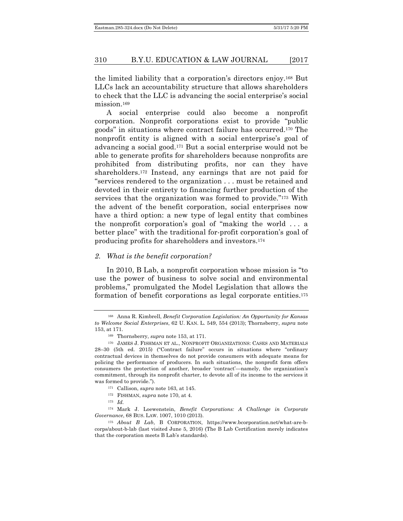the limited liability that a corporation's directors enjoy.168 But LLCs lack an accountability structure that allows shareholders to check that the LLC is advancing the social enterprise's social mission.<sup>169</sup>

A social enterprise could also become a nonprofit corporation. Nonprofit corporations exist to provide "public goods" in situations where contract failure has occurred.170 The nonprofit entity is aligned with a social enterprise's goal of advancing a social good.171 But a social enterprise would not be able to generate profits for shareholders because nonprofits are prohibited from distributing profits, nor can they have shareholders.172 Instead, any earnings that are not paid for "services rendered to the organization . . . must be retained and devoted in their entirety to financing further production of the services that the organization was formed to provide."173 With the advent of the benefit corporation, social enterprises now have a third option: a new type of legal entity that combines the nonprofit corporation's goal of "making the world . . . a better place" with the traditional for-profit corporation's goal of producing profits for shareholders and investors.174

#### *2. What is the benefit corporation?*

In 2010, B Lab, a nonprofit corporation whose mission is "to use the power of business to solve social and environmental problems," promulgated the Model Legislation that allows the formation of benefit corporations as legal corporate entities.175

<sup>168</sup> Anna R. Kimbrell, *Benefit Corporation Legislation: An Opportunity for Kansas to Welcome Social Enterprises*, 62 U. KAN. L. 549, 554 (2013); Thornsberry, *supra* note 153, at 171.

<sup>169</sup> Thornsberry, *supra* note 153, at 171.

<sup>170</sup> JAMES J. FISHMAN ET AL., NONPROFIT ORGANIZATIONS: CASES AND MATERIALS 28–30 (5th ed. 2015) ("Contract failure" occurs in situations where "ordinary contractual devices in themselves do not provide consumers with adequate means for policing the performance of producers. In such situations, the nonprofit form offers consumers the protection of another, broader 'contract'—namely, the organization's commitment, through its nonprofit charter, to devote all of its income to the services it was formed to provide.").

<sup>171</sup> Callison, *supra* note 163, at 145.

<sup>172</sup> FISHMAN, *supra* note 170, at 4.

<sup>173</sup> *Id.*

<sup>174</sup> Mark J. Loewenstein, *Benefit Corporations: A Challenge in Corporate Governance*, 68 BUS. LAW. 1007, 1010 (2013).

<sup>175</sup> *About B Lab*, B CORPORATION, https://www.bcorporation.net/what-are-bcorps/about-b-lab (last visited June 5, 2016) (The B Lab Certification merely indicates that the corporation meets B Lab's standards).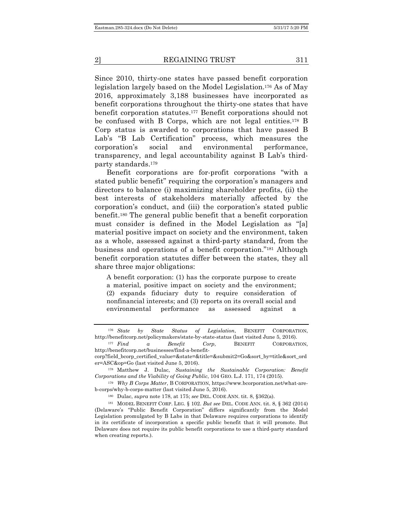Since 2010, thirty-one states have passed benefit corporation legislation largely based on the Model Legislation.176 As of May 2016, approximately 3,188 businesses have incorporated as benefit corporations throughout the thirty-one states that have benefit corporation statutes.177 Benefit corporations should not be confused with B Corps, which are not legal entities.178 B Corp status is awarded to corporations that have passed B Lab's "B Lab Certification" process, which measures the corporation's social and environmental performance, transparency, and legal accountability against B Lab's thirdparty standards.179

Benefit corporations are for-profit corporations "with a stated public benefit" requiring the corporation's managers and directors to balance (i) maximizing shareholder profits, (ii) the best interests of stakeholders materially affected by the corporation's conduct, and (iii) the corporation's stated public benefit.180 The general public benefit that a benefit corporation must consider is defined in the Model Legislation as "[a] material positive impact on society and the environment, taken as a whole, assessed against a third-party standard, from the business and operations of a benefit corporation."181 Although benefit corporation statutes differ between the states, they all share three major obligations:

A benefit corporation: (1) has the corporate purpose to create a material, positive impact on society and the environment; (2) expands fiduciary duty to require consideration of nonfinancial interests; and (3) reports on its overall social and environmental performance as assessed against a

<sup>176</sup> *State by State Status of Legislation*, BENEFIT CORPORATION, http://benefitcorp.net/policymakers/state-by-state-status (last visited June 5, 2016).

<sup>177</sup> *Find a Benefit Corp*, BENEFIT CORPORATION, http://benefitcorp.net/businesses/find-a-benefit-

corp?field\_bcorp\_certified\_value=&state=&title=&submit2=Go&sort\_by=title&sort\_ord er=ASC&op=Go (last visited June 5, 2016).

<sup>178</sup> Matthew J. Dulac, *Sustaining the Sustainable Corporation: Benefit Corporations and the Viability of Going Public*, 104 GEO. L.J. 171, 174 (2015).

<sup>179</sup> *Why B Corps Matter*, B CORPORATION, https://www.bcorporation.net/what-areb-corps/why-b-corps-matter (last visited June 5, 2016).

<sup>180</sup> Dulac, *supra* note 178, at 175; *see* DEL. CODE ANN. tit. 8, §362(a).

<sup>181</sup> MODEL BENEFIT CORP. LEG. § 102. *But see* DEL. CODE ANN. tit. 8, § 362 (2014) (Delaware's "Public Benefit Corporation" differs significantly from the Model Legislation promulgated by B Labs in that Delaware requires corporations to identify in its certificate of incorporation a specific public benefit that it will promote. But Delaware does not require its public benefit corporations to use a third-party standard when creating reports.).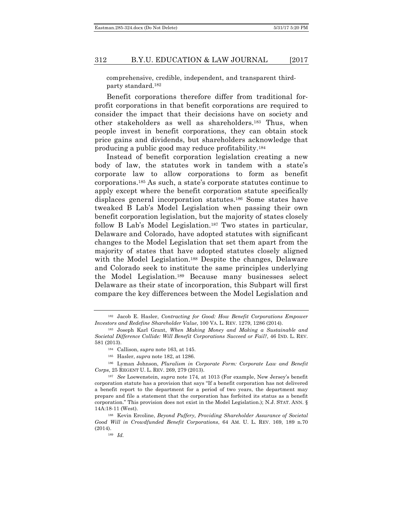comprehensive, credible, independent, and transparent thirdparty standard.182

Benefit corporations therefore differ from traditional forprofit corporations in that benefit corporations are required to consider the impact that their decisions have on society and other stakeholders as well as shareholders.183 Thus, when people invest in benefit corporations, they can obtain stock price gains and dividends, but shareholders acknowledge that producing a public good may reduce profitability.184

Instead of benefit corporation legislation creating a new body of law, the statutes work in tandem with a state's corporate law to allow corporations to form as benefit corporations.185 As such, a state's corporate statutes continue to apply except where the benefit corporation statute specifically displaces general incorporation statutes.186 Some states have tweaked B Lab's Model Legislation when passing their own benefit corporation legislation, but the majority of states closely follow B Lab's Model Legislation.<sup>187</sup> Two states in particular, Delaware and Colorado, have adopted statutes with significant changes to the Model Legislation that set them apart from the majority of states that have adopted statutes closely aligned with the Model Legislation.<sup>188</sup> Despite the changes, Delaware and Colorado seek to institute the same principles underlying the Model Legislation.189 Because many businesses select Delaware as their state of incorporation, this Subpart will first compare the key differences between the Model Legislation and

<sup>185</sup> Hasler, *supra* note 182, at 1286.

<sup>182</sup> Jacob E. Hasler, *Contracting for Good: How Benefit Corporations Empower Investors and Redefine Shareholder Value*, 100 VA. L. REV. 1279, 1286 (2014).

<sup>183</sup> Joseph Karl Grant, *When Making Money and Making a Sustainable and Societal Difference Collide: Will Benefit Corporations Succeed or Fail?*, 46 IND. L. REV. 581 (2013).

<sup>184</sup> Callison, *supra* note 163, at 145.

<sup>186</sup> Lyman Johnson, *Pluralism in Corporate Form: Corporate Law and Benefit Corps*, 25 REGENT U. L. REV. 269, 279 (2013).

<sup>187</sup> *See* Loewenstein, *supra* note 174, at 1013 (For example, New Jersey's benefit corporation statute has a provision that says "If a benefit corporation has not delivered a benefit report to the department for a period of two years, the department may prepare and file a statement that the corporation has forfeited its status as a benefit corporation." This provision does not exist in the Model Legislation.); N.J. STAT. ANN. § 14A:18-11 (West).

<sup>188</sup> Kevin Ercoline, *Beyond Puffery, Providing Shareholder Assurance of Societal Good Will in Crowdfunded Benefit Corporations*, 64 AM. U. L. REV. 169, 189 n.70 (2014). <sup>189</sup> *Id.*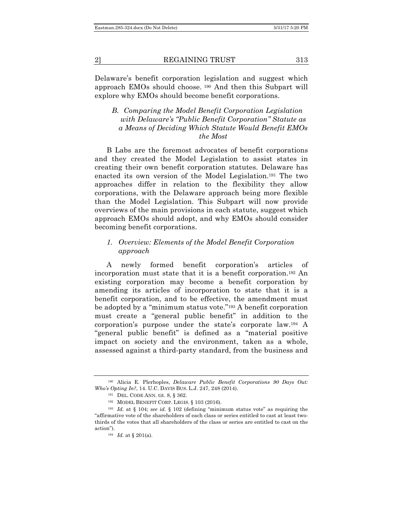Delaware's benefit corporation legislation and suggest which approach EMOs should choose. <sup>190</sup> And then this Subpart will explore why EMOs should become benefit corporations.

# *B. Comparing the Model Benefit Corporation Legislation with Delaware's "Public Benefit Corporation" Statute as a Means of Deciding Which Statute Would Benefit EMOs the Most*

B Labs are the foremost advocates of benefit corporations and they created the Model Legislation to assist states in creating their own benefit corporation statutes. Delaware has enacted its own version of the Model Legislation.191 The two approaches differ in relation to the flexibility they allow corporations, with the Delaware approach being more flexible than the Model Legislation. This Subpart will now provide overviews of the main provisions in each statute, suggest which approach EMOs should adopt, and why EMOs should consider becoming benefit corporations.

# *1. Overview: Elements of the Model Benefit Corporation approach*

A newly formed benefit corporation's articles of incorporation must state that it is a benefit corporation.192 An existing corporation may become a benefit corporation by amending its articles of incorporation to state that it is a benefit corporation, and to be effective, the amendment must be adopted by a "minimum status vote."193 A benefit corporation must create a "general public benefit" in addition to the corporation's purpose under the state's corporate law.194 A "general public benefit" is defined as a "material positive impact on society and the environment, taken as a whole, assessed against a third-party standard, from the business and

<sup>190</sup> Alicia E. Plerhoples, *Delaware Public Benefit Corporations 90 Days Out: Who's Opting In?*, 14. U.C. DAVIS BUS. L.J. 247, 248 (2014).

<sup>191</sup> DEL. CODE ANN. tit. 8, § 362.

<sup>192</sup> MODEL BENEFIT CORP. LEGIS. § 103 (2016).

<sup>193</sup> *Id.* at § 104; *see id.* § 102 (defining "minimum status vote" as requiring the "affirmative vote of the shareholders of each class or series entitled to cast at least twothirds of the votes that all shareholders of the class or series are entitled to cast on the action").

<sup>194</sup> *Id.* at § 201(a).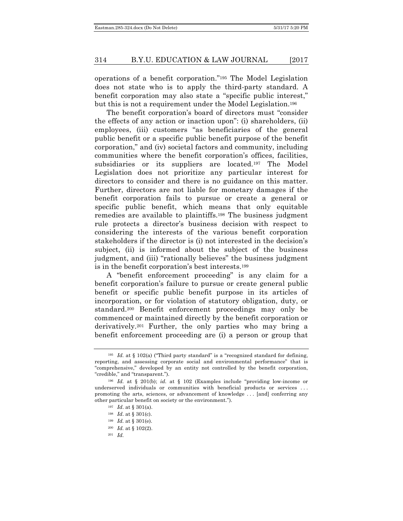operations of a benefit corporation."195 The Model Legislation does not state who is to apply the third-party standard. A benefit corporation may also state a "specific public interest," but this is not a requirement under the Model Legislation.196

The benefit corporation's board of directors must "consider the effects of any action or inaction upon": (i) shareholders, (ii) employees, (iii) customers "as beneficiaries of the general public benefit or a specific public benefit purpose of the benefit corporation," and (iv) societal factors and community, including communities where the benefit corporation's offices, facilities, subsidiaries or its suppliers are located.<sup>197</sup> The Model Legislation does not prioritize any particular interest for directors to consider and there is no guidance on this matter. Further, directors are not liable for monetary damages if the benefit corporation fails to pursue or create a general or specific public benefit, which means that only equitable remedies are available to plaintiffs.198 The business judgment rule protects a director's business decision with respect to considering the interests of the various benefit corporation stakeholders if the director is (i) not interested in the decision's subject, (ii) is informed about the subject of the business judgment, and (iii) "rationally believes" the business judgment is in the benefit corporation's best interests.199

A "benefit enforcement proceeding" is any claim for a benefit corporation's failure to pursue or create general public benefit or specific public benefit purpose in its articles of incorporation, or for violation of statutory obligation, duty, or standard.200 Benefit enforcement proceedings may only be commenced or maintained directly by the benefit corporation or derivatively.201 Further, the only parties who may bring a benefit enforcement proceeding are (i) a person or group that

<sup>197</sup> *Id*. at § 301(a).

- <sup>200</sup> *Id.* at § 102(2).
- <sup>201</sup> *Id.*

<sup>&</sup>lt;sup>195</sup> *Id.* at § 102(a) ("Third party standard" is a "recognized standard for defining, reporting, and assessing corporate social and environmental performance" that is "comprehensive," developed by an entity not controlled by the benefit corporation, "credible," and "transparent.").

<sup>196</sup> *Id.* at § 201(b); *id.* at § 102 (Examples include "providing low-income or underserved individuals or communities with beneficial products or services . . . promoting the arts, sciences, or advancement of knowledge . . . [and] conferring any other particular benefit on society or the environment.").

<sup>198</sup> *Id*. at § 301(c).

<sup>199</sup> *Id.* at § 301(e).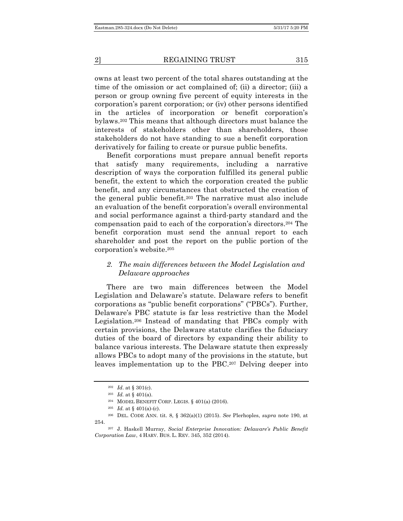owns at least two percent of the total shares outstanding at the time of the omission or act complained of; (ii) a director; (iii) a person or group owning five percent of equity interests in the corporation's parent corporation; or (iv) other persons identified in the articles of incorporation or benefit corporation's bylaws.202 This means that although directors must balance the interests of stakeholders other than shareholders, those stakeholders do not have standing to sue a benefit corporation derivatively for failing to create or pursue public benefits.

Benefit corporations must prepare annual benefit reports that satisfy many requirements, including a narrative description of ways the corporation fulfilled its general public benefit, the extent to which the corporation created the public benefit, and any circumstances that obstructed the creation of the general public benefit.203 The narrative must also include an evaluation of the benefit corporation's overall environmental and social performance against a third-party standard and the compensation paid to each of the corporation's directors.204 The benefit corporation must send the annual report to each shareholder and post the report on the public portion of the corporation's website.205

# *2. The main differences between the Model Legislation and Delaware approaches*

There are two main differences between the Model Legislation and Delaware's statute. Delaware refers to benefit corporations as "public benefit corporations" ("PBCs"). Further, Delaware's PBC statute is far less restrictive than the Model Legislation.206 Instead of mandating that PBCs comply with certain provisions, the Delaware statute clarifies the fiduciary duties of the board of directors by expanding their ability to balance various interests. The Delaware statute then expressly allows PBCs to adopt many of the provisions in the statute, but leaves implementation up to the PBC.207 Delving deeper into

<sup>202</sup> *Id*. at § 301(c).

<sup>203</sup> *Id.* at § 401(a).

<sup>204</sup> MODEL BENEFIT CORP. LEGIS. § 401(a) (2016).

<sup>&</sup>lt;sup>205</sup> *Id.* at § 401(a)-(c).

<sup>206</sup> DEL. CODE ANN. tit. 8, § 362(a)(1) (2015). *See* Plerhoples, *supra* note 190, at 254.

<sup>207</sup> J. Haskell Murray, *Social Enterprise Innovation: Delaware's Public Benefit Corporation Law*, 4 HARV. BUS. L. REV. 345, 352 (2014).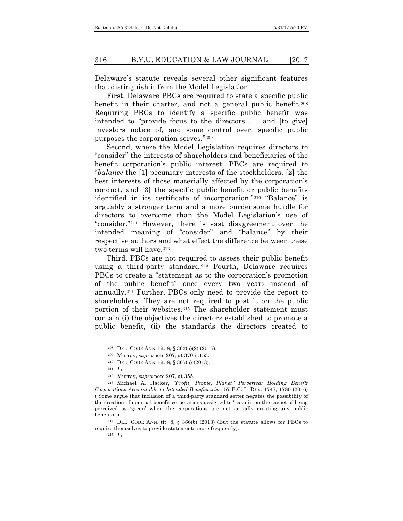Delaware's statute reveals several other significant features that distinguish it from the Model Legislation.

First, Delaware PBCs are required to state a specific public benefit in their charter, and not a general public benefit.208 Requiring PBCs to identify a specific public benefit was intended to "provide focus to the directors . . . and [to give] investors notice of, and some control over, specific public purposes the corporation serves."209

Second, where the Model Legislation requires directors to "consider" the interests of shareholders and beneficiaries of the benefit corporation's public interest, PBCs are required to "*balance* the [1] pecuniary interests of the stockholders, [2] the best interests of those materially affected by the corporation's conduct, and [3] the specific public benefit or public benefits identified in its certificate of incorporation."210 "Balance" is arguably a stronger term and a more burdensome hurdle for directors to overcome than the Model Legislation's use of "consider."211 However, there is vast disagreement over the intended meaning of "consider" and "balance" by their respective authors and what effect the difference between these two terms will have.<sup>212</sup>

Third, PBCs are not required to assess their public benefit using a third-party standard.213 Fourth, Delaware requires PBCs to create a "statement as to the corporation's promotion of the public benefit" once every two years instead of annually.214 Further, PBCs only need to provide the report to shareholders. They are not required to post it on the public portion of their websites.215 The shareholder statement must contain (i) the objectives the directors established to promote a public benefit, (ii) the standards the directors created to

<sup>214</sup> DEL. CODE ANN. tit. 8, § 366(b) (2013) (But the statute allows for PBCs to require themselves to provide statements more frequently).

<sup>208</sup> DEL. CODE ANN. tit. 8, § 362(a)(2) (2015).

<sup>209</sup> Murray, *supra* note 207, at 370 n.153.

<sup>210</sup> DEL. CODE ANN. tit. 8, § 365(a) (2013).

<sup>211</sup> *Id.*

<sup>212</sup> Murray, *supra* note 207, at 355.

<sup>213</sup> Michael A. Hacker, *"Profit, People, Planet" Perverted: Holding Benefit Corporations Accountable to Intended Beneficiaries*, 57 B.C. L. REV. 1747, 1780 (2016) ("Some argue that inclusion of a third-party standard setter negates the possibility of the creation of nominal benefit corporations designed to "cash in on the cachet of being perceived as 'green' when the corporations are not actually creating any public benefits.").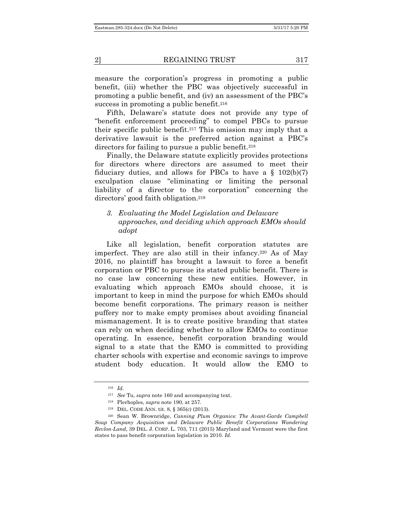measure the corporation's progress in promoting a public benefit, (iii) whether the PBC was objectively successful in promoting a public benefit, and (iv) an assessment of the PBC's success in promoting a public benefit.<sup>216</sup>

Fifth, Delaware's statute does not provide any type of "benefit enforcement proceeding" to compel PBCs to pursue their specific public benefit.217 This omission may imply that a derivative lawsuit is the preferred action against a PBC's directors for failing to pursue a public benefit.<sup>218</sup>

Finally, the Delaware statute explicitly provides protections for directors where directors are assumed to meet their fiduciary duties, and allows for PBCs to have a  $\S$  102(b)(7) exculpation clause "eliminating or limiting the personal liability of a director to the corporation" concerning the directors' good faith obligation.219

# *3. Evaluating the Model Legislation and Delaware approaches, and deciding which approach EMOs should adopt*

Like all legislation, benefit corporation statutes are imperfect. They are also still in their infancy.220 As of May 2016, no plaintiff has brought a lawsuit to force a benefit corporation or PBC to pursue its stated public benefit. There is no case law concerning these new entities. However, in evaluating which approach EMOs should choose, it is important to keep in mind the purpose for which EMOs should become benefit corporations. The primary reason is neither puffery nor to make empty promises about avoiding financial mismanagement. It is to create positive branding that states can rely on when deciding whether to allow EMOs to continue operating. In essence, benefit corporation branding would signal to a state that the EMO is committed to providing charter schools with expertise and economic savings to improve student body education. It would allow the EMO to

<sup>216</sup> *Id.*

<sup>217</sup> *See* Tu, *supra* note 160 and accompanying text.

<sup>218</sup> Plerhoples, *supra* note 190, at 257.

<sup>219</sup> DEL. CODE ANN. tit. 8, § 365(c) (2013).

<sup>220</sup> Sean W. Brownridge, *Canning Plum Organics: The Avant-Garde Campbell Soup Company Acquisition and Delaware Public Benefit Corporations Wandering Revlon-Land*, 39 DEL. J. CORP. L. 703, 711 (2015) Maryland and Vermont were the first states to pass benefit corporation legislation in 2010. *Id.*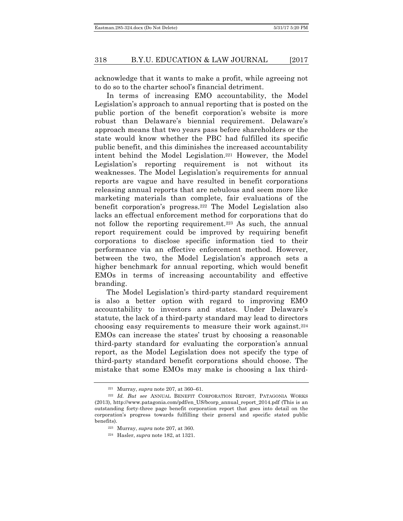acknowledge that it wants to make a profit, while agreeing not to do so to the charter school's financial detriment.

In terms of increasing EMO accountability, the Model Legislation's approach to annual reporting that is posted on the public portion of the benefit corporation's website is more robust than Delaware's biennial requirement. Delaware's approach means that two years pass before shareholders or the state would know whether the PBC had fulfilled its specific public benefit, and this diminishes the increased accountability intent behind the Model Legislation.221 However, the Model Legislation's reporting requirement is not without its weaknesses. The Model Legislation's requirements for annual reports are vague and have resulted in benefit corporations releasing annual reports that are nebulous and seem more like marketing materials than complete, fair evaluations of the benefit corporation's progress.222 The Model Legislation also lacks an effectual enforcement method for corporations that do not follow the reporting requirement.223 As such, the annual report requirement could be improved by requiring benefit corporations to disclose specific information tied to their performance via an effective enforcement method. However, between the two, the Model Legislation's approach sets a higher benchmark for annual reporting, which would benefit EMOs in terms of increasing accountability and effective branding.

The Model Legislation's third-party standard requirement is also a better option with regard to improving EMO accountability to investors and states. Under Delaware's statute, the lack of a third-party standard may lead to directors choosing easy requirements to measure their work against.224 EMOs can increase the states' trust by choosing a reasonable third-party standard for evaluating the corporation's annual report, as the Model Legislation does not specify the type of third-party standard benefit corporations should choose. The mistake that some EMOs may make is choosing a lax third-

<sup>221</sup> Murray, *supra* note 207, at 360–61.

<sup>222</sup> *Id. But see* ANNUAL BENEFIT CORPORATION REPORT, PATAGONIA WORKS (2013), http://www.patagonia.com/pdf/en\_US/bcorp\_annual\_report\_2014.pdf (This is an outstanding forty-three page benefit corporation report that goes into detail on the corporation's progress towards fulfilling their general and specific stated public benefits).

<sup>223</sup> Murray, *supra* note 207, at 360.

<sup>224</sup> Hasler, *supra* note 182, at 1321.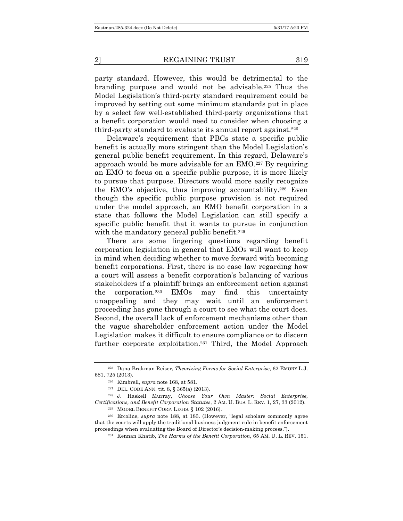party standard. However, this would be detrimental to the branding purpose and would not be advisable.225 Thus the Model Legislation's third-party standard requirement could be improved by setting out some minimum standards put in place by a select few well-established third-party organizations that a benefit corporation would need to consider when choosing a third-party standard to evaluate its annual report against.<sup>226</sup>

Delaware's requirement that PBCs state a specific public benefit is actually more stringent than the Model Legislation's general public benefit requirement. In this regard, Delaware's approach would be more advisable for an EMO.227 By requiring an EMO to focus on a specific public purpose, it is more likely to pursue that purpose. Directors would more easily recognize the EMO's objective, thus improving accountability.228 Even though the specific public purpose provision is not required under the model approach, an EMO benefit corporation in a state that follows the Model Legislation can still specify a specific public benefit that it wants to pursue in conjunction with the mandatory general public benefit.<sup>229</sup>

There are some lingering questions regarding benefit corporation legislation in general that EMOs will want to keep in mind when deciding whether to move forward with becoming benefit corporations. First, there is no case law regarding how a court will assess a benefit corporation's balancing of various stakeholders if a plaintiff brings an enforcement action against the corporation.230 EMOs may find this uncertainty unappealing and they may wait until an enforcement proceeding has gone through a court to see what the court does. Second, the overall lack of enforcement mechanisms other than the vague shareholder enforcement action under the Model Legislation makes it difficult to ensure compliance or to discern further corporate exploitation.<sup>231</sup> Third, the Model Approach

<sup>225</sup> Dana Brakman Reiser, *Theorizing Forms for Social Enterprise*, 62 EMORY L.J. 681, 725 (2013).

<sup>226</sup> Kimbrell, *supra* note 168, at 581.

<sup>227</sup> DEL. CODE ANN. tit. 8, § 365(a) (2013).

<sup>228</sup> J. Haskell Murray, *Choose Your Own Master: Social Enterprise, Certifications, and Benefit Corporation Statutes*, 2 AM. U. BUS. L. REV. 1, 27, 33 (2012).

<sup>&</sup>lt;sup>229</sup> MODEL BENEFIT CORP. LEGIS.  $§$  102 (2016).

<sup>230</sup> Ercoline, *supra* note 188, at 183. (However, "legal scholars commonly agree that the courts will apply the traditional business judgment rule in benefit enforcement proceedings when evaluating the Board of Director's decision-making process.").

<sup>231</sup> Kennan Khatib, *The Harms of the Benefit Corporation*, 65 AM. U. L. REV. 151,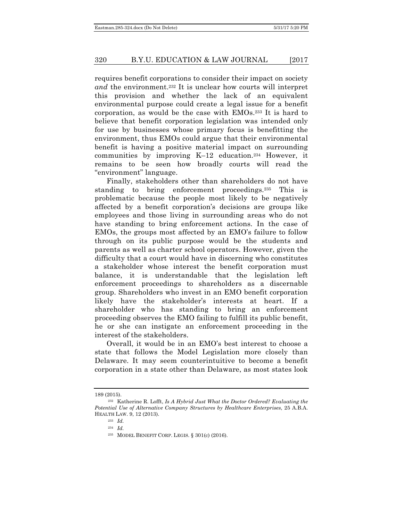requires benefit corporations to consider their impact on society *and* the environment.232 It is unclear how courts will interpret this provision and whether the lack of an equivalent environmental purpose could create a legal issue for a benefit corporation, as would be the case with EMOs.233 It is hard to believe that benefit corporation legislation was intended only for use by businesses whose primary focus is benefitting the environment, thus EMOs could argue that their environmental benefit is having a positive material impact on surrounding communities by improving K–12 education.234 However, it remains to be seen how broadly courts will read the "environment" language.

Finally, stakeholders other than shareholders do not have standing to bring enforcement proceedings.235 This is problematic because the people most likely to be negatively affected by a benefit corporation's decisions are groups like employees and those living in surrounding areas who do not have standing to bring enforcement actions. In the case of EMOs, the groups most affected by an EMO's failure to follow through on its public purpose would be the students and parents as well as charter school operators. However, given the difficulty that a court would have in discerning who constitutes a stakeholder whose interest the benefit corporation must balance, it is understandable that the legislation left enforcement proceedings to shareholders as a discernable group. Shareholders who invest in an EMO benefit corporation likely have the stakeholder's interests at heart. If a shareholder who has standing to bring an enforcement proceeding observes the EMO failing to fulfill its public benefit, he or she can instigate an enforcement proceeding in the interest of the stakeholders.

Overall, it would be in an EMO's best interest to choose a state that follows the Model Legislation more closely than Delaware. It may seem counterintuitive to become a benefit corporation in a state other than Delaware, as most states look

<sup>189 (2015).</sup>

<sup>232</sup> Katherine R. Lofft, *Is A Hybrid Just What the Doctor Ordered? Evaluating the Potential Use of Alternative Company Structures by Healthcare Enterprises*, 25 A.B.A. HEALTH LAW. 9, 12 (2013).

<sup>233</sup> *Id.*

<sup>234</sup> *Id.*

<sup>235</sup> MODEL BENEFIT CORP. LEGIS. § 301(c) (2016).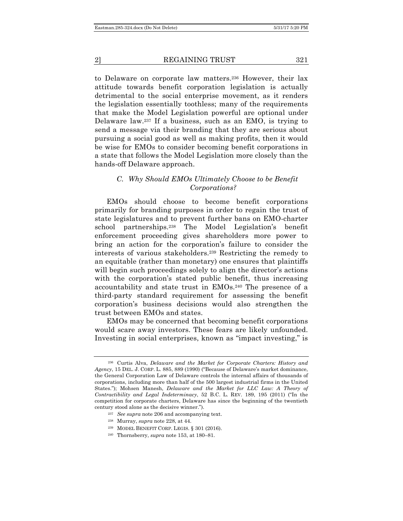to Delaware on corporate law matters.236 However, their lax attitude towards benefit corporation legislation is actually detrimental to the social enterprise movement, as it renders the legislation essentially toothless; many of the requirements that make the Model Legislation powerful are optional under Delaware law.237 If a business, such as an EMO, is trying to send a message via their branding that they are serious about pursuing a social good as well as making profits, then it would be wise for EMOs to consider becoming benefit corporations in a state that follows the Model Legislation more closely than the hands-off Delaware approach.

#### *C. Why Should EMOs Ultimately Choose to be Benefit Corporations?*

EMOs should choose to become benefit corporations primarily for branding purposes in order to regain the trust of state legislatures and to prevent further bans on EMO-charter school partnerships.238 The Model Legislation's benefit enforcement proceeding gives shareholders more power to bring an action for the corporation's failure to consider the interests of various stakeholders.239 Restricting the remedy to an equitable (rather than monetary) one ensures that plaintiffs will begin such proceedings solely to align the director's actions with the corporation's stated public benefit, thus increasing accountability and state trust in EMOs.240 The presence of a third-party standard requirement for assessing the benefit corporation's business decisions would also strengthen the trust between EMOs and states.

EMOs may be concerned that becoming benefit corporations would scare away investors. These fears are likely unfounded. Investing in social enterprises, known as "impact investing," is

- <sup>237</sup> *See supra* note 206 and accompanying text.
- <sup>238</sup> Murray, *supra* note 228, at 44.
- <sup>239</sup> MODEL BENEFIT CORP. LEGIS. § 301 (2016).
- <sup>240</sup> Thornsberry, *supra* note 153, at 180–81.

<sup>236</sup> Curtis Alva, *Delaware and the Market for Corporate Charters: History and Agency*, 15 DEL. J. CORP. L. 885, 889 (1990) ("Because of Delaware's market dominance, the General Corporation Law of Delaware controls the internal affairs of thousands of corporations, including more than half of the 500 largest industrial firms in the United States."); Mohsen Manesh, *Delaware and the Market for LLC Law: A Theory of Contractibility and Legal Indeterminacy*, 52 B.C. L. REV. 189, 195 (2011) ("In the competition for corporate charters, Delaware has since the beginning of the twentieth century stood alone as the decisive winner.").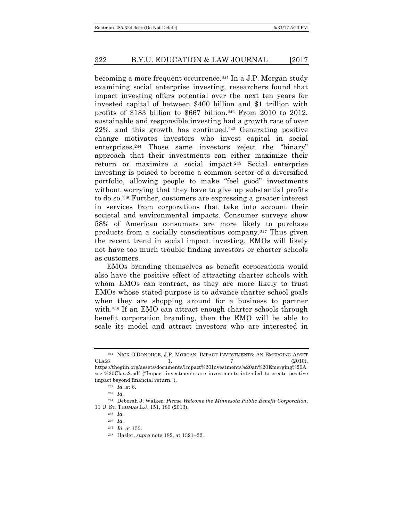becoming a more frequent occurrence.241 In a J.P. Morgan study examining social enterprise investing, researchers found that impact investing offers potential over the next ten years for invested capital of between \$400 billion and \$1 trillion with profits of \$183 billion to \$667 billion.<sup>242</sup> From 2010 to 2012, sustainable and responsible investing had a growth rate of over 22%, and this growth has continued.243 Generating positive change motivates investors who invest capital in social enterprises.244 Those same investors reject the "binary" approach that their investments can either maximize their return or maximize a social impact.245 Social enterprise investing is poised to become a common sector of a diversified portfolio, allowing people to make "feel good" investments without worrying that they have to give up substantial profits to do so.246 Further, customers are expressing a greater interest in services from corporations that take into account their societal and environmental impacts. Consumer surveys show 58% of American consumers are more likely to purchase products from a socially conscientious company.247 Thus given the recent trend in social impact investing, EMOs will likely not have too much trouble finding investors or charter schools as customers.

EMOs branding themselves as benefit corporations would also have the positive effect of attracting charter schools with whom EMOs can contract, as they are more likely to trust EMOs whose stated purpose is to advance charter school goals when they are shopping around for a business to partner with.248 If an EMO can attract enough charter schools through benefit corporation branding, then the EMO will be able to scale its model and attract investors who are interested in

<sup>241</sup> NICK O'DONOHOE, J.P. MORGAN, IMPACT INVESTMENTS: AN EMERGING ASSET CLASS 1,  $\frac{7}{2010}$ ,  $\frac{2010}{2010}$ ,

https://thegiin.org/assets/documents/Impact%20Investments%20an%20Emerging%20A sset%20Class2.pdf ("Impact investments are investments intended to create positive impact beyond financial return.").

<sup>242</sup> *Id.* at 6.

<sup>243</sup> *Id.*

<sup>244</sup> Deborah J. Walker, *Please Welcome the Minnesota Public Benefit Corporation*, 11 U. ST. THOMAS L.J. 151, 180 (2013).

<sup>245</sup> *Id.*

<sup>246</sup> *Id.*

<sup>247</sup> *Id.* at 153.

<sup>248</sup> Hasler, *supra* note 182, at 1321–22.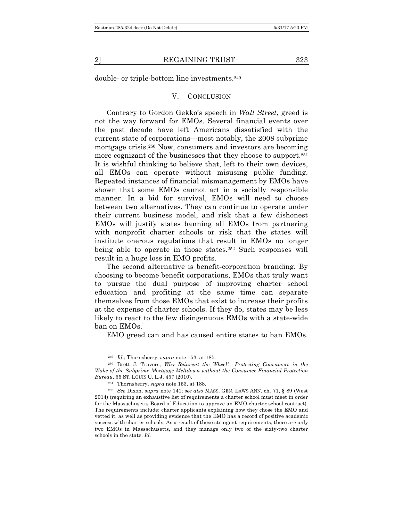double- or triple-bottom line investments.249

#### V. CONCLUSION

Contrary to Gordon Gekko's speech in *Wall Street*, greed is not the way forward for EMOs. Several financial events over the past decade have left Americans dissatisfied with the current state of corporations—most notably, the 2008 subprime mortgage crisis.250 Now, consumers and investors are becoming more cognizant of the businesses that they choose to support.251 It is wishful thinking to believe that, left to their own devices, all EMOs can operate without misusing public funding. Repeated instances of financial mismanagement by EMOs have shown that some EMOs cannot act in a socially responsible manner. In a bid for survival, EMOs will need to choose between two alternatives. They can continue to operate under their current business model, and risk that a few dishonest EMOs will justify states banning all EMOs from partnering with nonprofit charter schools or risk that the states will institute onerous regulations that result in EMOs no longer being able to operate in those states.<sup>252</sup> Such responses will result in a huge loss in EMO profits.

The second alternative is benefit-corporation branding. By choosing to become benefit corporations, EMOs that truly want to pursue the dual purpose of improving charter school education and profiting at the same time can separate themselves from those EMOs that exist to increase their profits at the expense of charter schools. If they do, states may be less likely to react to the few disingenuous EMOs with a state-wide ban on EMOs.

EMO greed can and has caused entire states to ban EMOs.

<sup>249</sup> *Id.*; Thornsberry, *supra* note 153, at 185.

<sup>250</sup> Brett J. Travers, *Why Reinvent the Wheel?—Protecting Consumers in the Wake of the Subprime Mortgage Meltdown without the Consumer Financial Protection Bureau*, 55 ST. LOUIS U. L.J. 457 (2010).

<sup>251</sup> Thornsberry, *supra* note 153, at 188.

<sup>252</sup> *See* Dixon, *supra* note 141; *see also* MASS. GEN. LAWS ANN. ch. 71, § 89 (West 2014) (requiring an exhaustive list of requirements a charter school must meet in order for the Massachusetts Board of Education to approve an EMO-charter school contract). The requirements include: charter applicants explaining how they chose the EMO and vetted it, as well as providing evidence that the EMO has a record of positive academic success with charter schools. As a result of these stringent requirements, there are only two EMOs in Massachusetts, and they manage only two of the sixty-two charter schools in the state. *Id.*